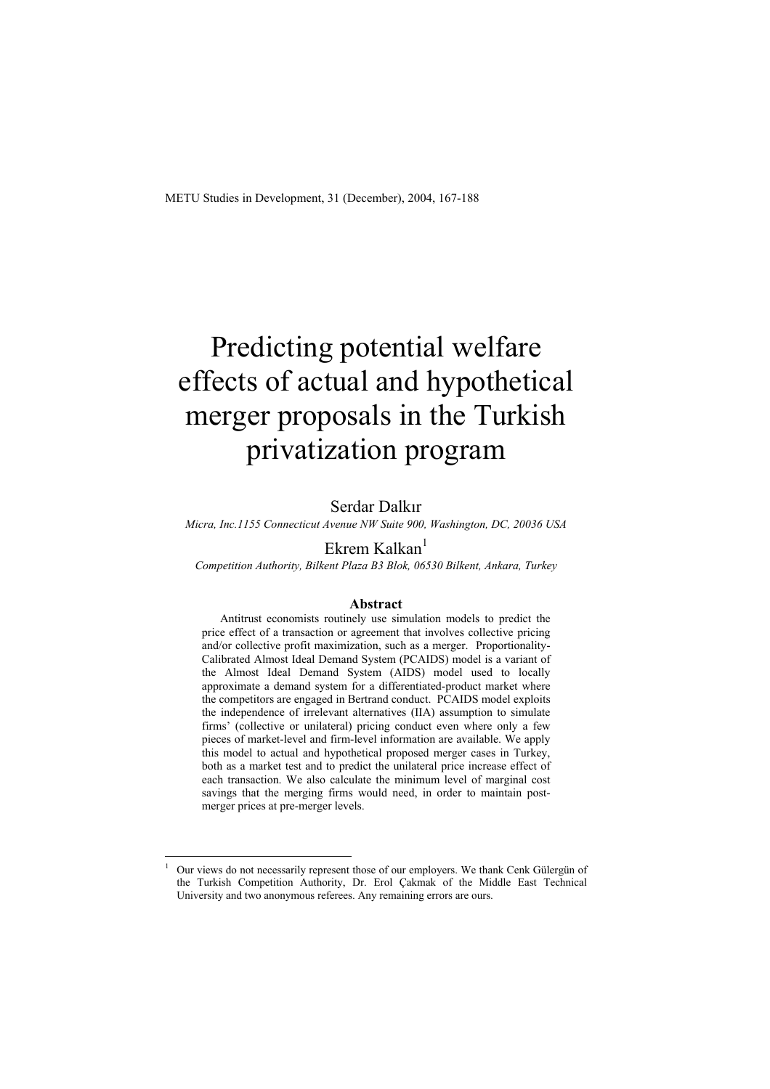# Predicting potential welfare effects of actual and hypothetical merger proposals in the Turkish privatization program

## Serdar Dalkır

*Micra, Inc.1155 Connecticut Avenue NW Suite 900, Washington, DC, 20036 USA* 

# Ekrem Kalkan $<sup>1</sup>$ </sup>

*Competition Authority, Bilkent Plaza B3 Blok, 06530 Bilkent, Ankara, Turkey* 

#### **Abstract**

Antitrust economists routinely use simulation models to predict the price effect of a transaction or agreement that involves collective pricing and/or collective profit maximization, such as a merger. Proportionality-Calibrated Almost Ideal Demand System (PCAIDS) model is a variant of the Almost Ideal Demand System (AIDS) model used to locally approximate a demand system for a differentiated-product market where the competitors are engaged in Bertrand conduct. PCAIDS model exploits the independence of irrelevant alternatives (IIA) assumption to simulate firms' (collective or unilateral) pricing conduct even where only a few pieces of market-level and firm-level information are available. We apply this model to actual and hypothetical proposed merger cases in Turkey, both as a market test and to predict the unilateral price increase effect of each transaction. We also calculate the minimum level of marginal cost savings that the merging firms would need, in order to maintain postmerger prices at pre-merger levels.

<sup>1</sup> Our views do not necessarily represent those of our employers. We thank Cenk Gülergün of the Turkish Competition Authority, Dr. Erol Çakmak of the Middle East Technical University and two anonymous referees. Any remaining errors are ours.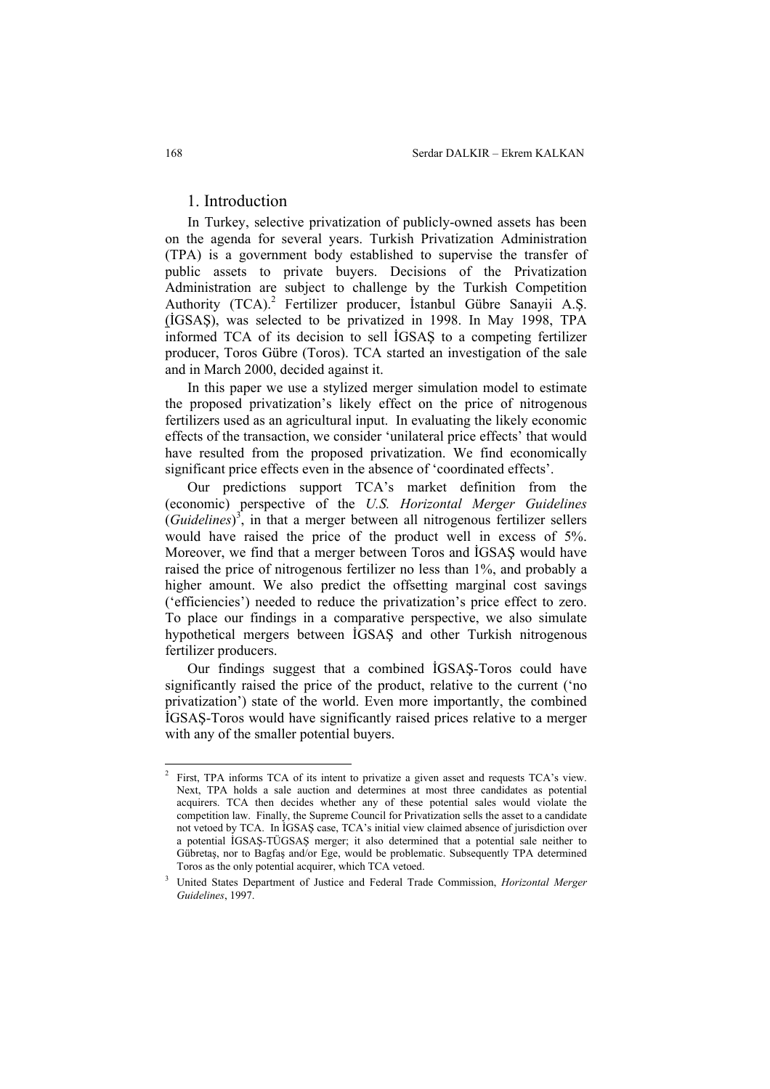# 1. Introduction

In Turkey, selective privatization of publicly-owned assets has been on the agenda for several years. Turkish Privatization Administration (TPA) is a government body established to supervise the transfer of public assets to private buyers. Decisions of the Privatization Administration are subject to challenge by the Turkish Competition Authority (TCA).<sup>2</sup> Fertilizer producer, İstanbul Gübre Sanayii A.Ş. (İGSAŞ), was selected to be privatized in 1998. In May 1998, TPA informed TCA of its decision to sell İGSAŞ to a competing fertilizer producer, Toros Gübre (Toros). TCA started an investigation of the sale and in March 2000, decided against it.

In this paper we use a stylized merger simulation model to estimate the proposed privatization's likely effect on the price of nitrogenous fertilizers used as an agricultural input. In evaluating the likely economic effects of the transaction, we consider 'unilateral price effects' that would have resulted from the proposed privatization. We find economically significant price effects even in the absence of 'coordinated effects'.

Our predictions support TCA's market definition from the (economic) perspective of the *U.S. Horizontal Merger Guidelines*  (*Guidelines*) 3 , in that a merger between all nitrogenous fertilizer sellers would have raised the price of the product well in excess of 5%. Moreover, we find that a merger between Toros and İGSAŞ would have raised the price of nitrogenous fertilizer no less than 1%, and probably a higher amount. We also predict the offsetting marginal cost savings ('efficiencies') needed to reduce the privatization's price effect to zero. To place our findings in a comparative perspective, we also simulate hypothetical mergers between İGSAŞ and other Turkish nitrogenous fertilizer producers.

Our findings suggest that a combined İGSAŞ-Toros could have significantly raised the price of the product, relative to the current ('no privatization') state of the world. Even more importantly, the combined İGSAŞ-Toros would have significantly raised prices relative to a merger with any of the smaller potential buyers.

 $\frac{1}{2}$  First, TPA informs TCA of its intent to privatize a given asset and requests TCA's view. Next, TPA holds a sale auction and determines at most three candidates as potential acquirers. TCA then decides whether any of these potential sales would violate the competition law. Finally, the Supreme Council for Privatization sells the asset to a candidate not vetoed by TCA. In İGSAŞ case, TCA's initial view claimed absence of jurisdiction over a potential İGSAŞ-TÜGSAŞ merger; it also determined that a potential sale neither to Gübretaş, nor to Bagfaş and/or Ege, would be problematic. Subsequently TPA determined Toros as the only potential acquirer, which TCA vetoed.

<sup>3</sup> United States Department of Justice and Federal Trade Commission, *Horizontal Merger Guidelines*, 1997.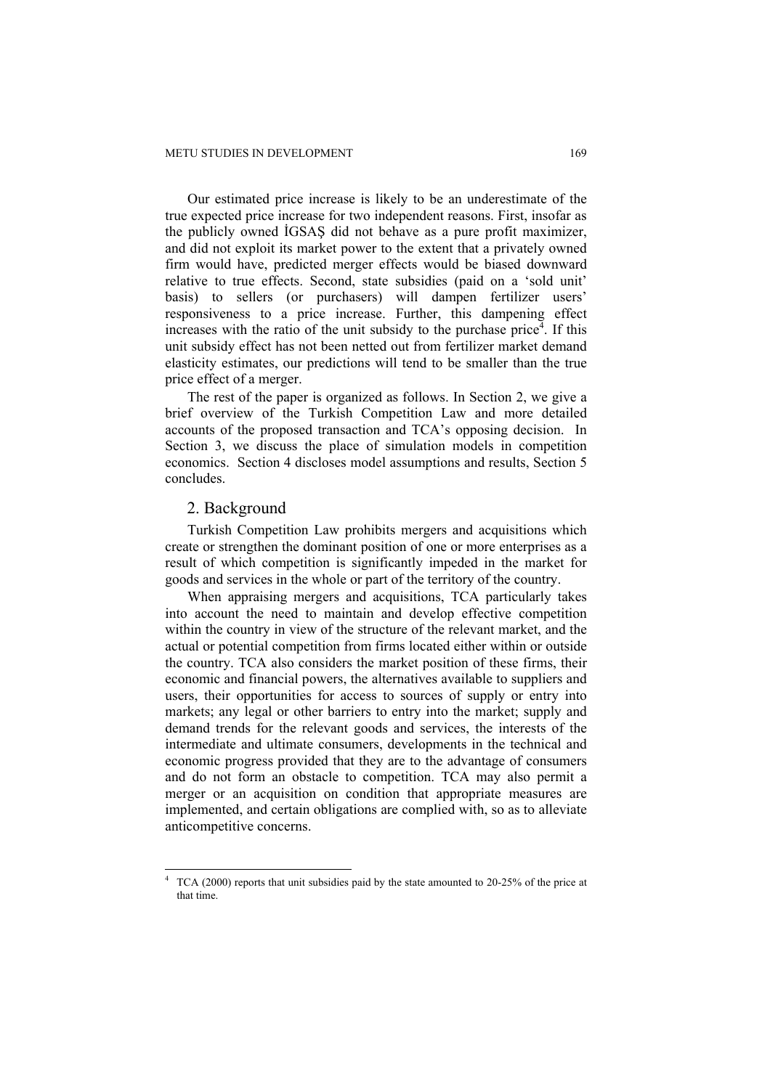Our estimated price increase is likely to be an underestimate of the true expected price increase for two independent reasons. First, insofar as the publicly owned İGSAŞ did not behave as a pure profit maximizer, and did not exploit its market power to the extent that a privately owned firm would have, predicted merger effects would be biased downward relative to true effects. Second, state subsidies (paid on a 'sold unit' basis) to sellers (or purchasers) will dampen fertilizer users' responsiveness to a price increase. Further, this dampening effect increases with the ratio of the unit subsidy to the purchase price<sup> $\overline{4}$ </sup>. If this unit subsidy effect has not been netted out from fertilizer market demand elasticity estimates, our predictions will tend to be smaller than the true price effect of a merger.

The rest of the paper is organized as follows. In Section 2, we give a brief overview of the Turkish Competition Law and more detailed accounts of the proposed transaction and TCA's opposing decision. In Section 3, we discuss the place of simulation models in competition economics. Section 4 discloses model assumptions and results, Section 5 concludes.

#### 2. Background

 $\overline{a}$ 

Turkish Competition Law prohibits mergers and acquisitions which create or strengthen the dominant position of one or more enterprises as a result of which competition is significantly impeded in the market for goods and services in the whole or part of the territory of the country.

When appraising mergers and acquisitions, TCA particularly takes into account the need to maintain and develop effective competition within the country in view of the structure of the relevant market, and the actual or potential competition from firms located either within or outside the country. TCA also considers the market position of these firms, their economic and financial powers, the alternatives available to suppliers and users, their opportunities for access to sources of supply or entry into markets; any legal or other barriers to entry into the market; supply and demand trends for the relevant goods and services, the interests of the intermediate and ultimate consumers, developments in the technical and economic progress provided that they are to the advantage of consumers and do not form an obstacle to competition. TCA may also permit a merger or an acquisition on condition that appropriate measures are implemented, and certain obligations are complied with, so as to alleviate anticompetitive concerns.

<sup>4</sup> TCA (2000) reports that unit subsidies paid by the state amounted to 20-25% of the price at that time.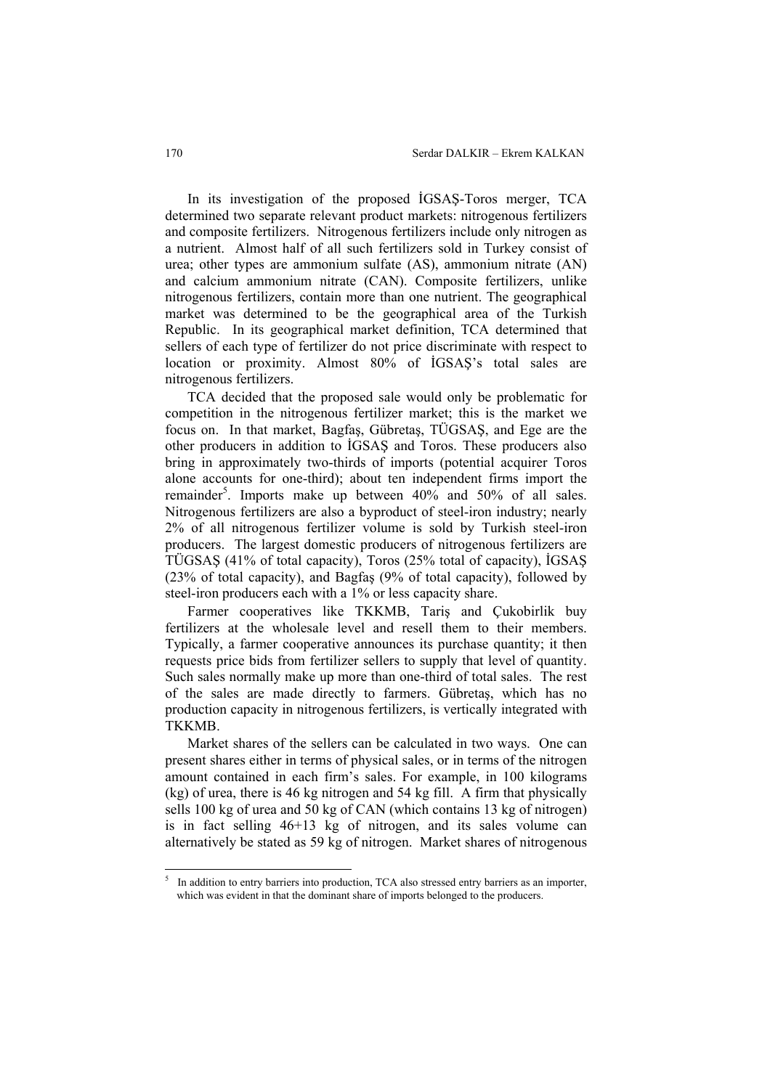In its investigation of the proposed İGSAŞ-Toros merger, TCA determined two separate relevant product markets: nitrogenous fertilizers and composite fertilizers. Nitrogenous fertilizers include only nitrogen as a nutrient. Almost half of all such fertilizers sold in Turkey consist of urea; other types are ammonium sulfate (AS), ammonium nitrate (AN) and calcium ammonium nitrate (CAN). Composite fertilizers, unlike nitrogenous fertilizers, contain more than one nutrient. The geographical market was determined to be the geographical area of the Turkish Republic. In its geographical market definition, TCA determined that sellers of each type of fertilizer do not price discriminate with respect to location or proximity. Almost 80% of İGSAŞ's total sales are nitrogenous fertilizers.

TCA decided that the proposed sale would only be problematic for competition in the nitrogenous fertilizer market; this is the market we focus on. In that market, Bagfaş, Gübretaş, TÜGSAŞ, and Ege are the other producers in addition to İGSAŞ and Toros. These producers also bring in approximately two-thirds of imports (potential acquirer Toros alone accounts for one-third); about ten independent firms import the remainder<sup>5</sup>. Imports make up between  $40\%$  and  $50\%$  of all sales. Nitrogenous fertilizers are also a byproduct of steel-iron industry; nearly 2% of all nitrogenous fertilizer volume is sold by Turkish steel-iron producers. The largest domestic producers of nitrogenous fertilizers are TÜGSAŞ (41% of total capacity), Toros (25% total of capacity), İGSAŞ (23% of total capacity), and Bagfaş (9% of total capacity), followed by steel-iron producers each with a 1% or less capacity share.

Farmer cooperatives like TKKMB, Tariş and Çukobirlik buy fertilizers at the wholesale level and resell them to their members. Typically, a farmer cooperative announces its purchase quantity; it then requests price bids from fertilizer sellers to supply that level of quantity. Such sales normally make up more than one-third of total sales. The rest of the sales are made directly to farmers. Gübretaş, which has no production capacity in nitrogenous fertilizers, is vertically integrated with TKKMB.

Market shares of the sellers can be calculated in two ways. One can present shares either in terms of physical sales, or in terms of the nitrogen amount contained in each firm's sales. For example, in 100 kilograms (kg) of urea, there is 46 kg nitrogen and 54 kg fill. A firm that physically sells 100 kg of urea and 50 kg of CAN (which contains 13 kg of nitrogen) is in fact selling 46+13 kg of nitrogen, and its sales volume can alternatively be stated as 59 kg of nitrogen. Market shares of nitrogenous

<sup>5</sup> In addition to entry barriers into production, TCA also stressed entry barriers as an importer, which was evident in that the dominant share of imports belonged to the producers.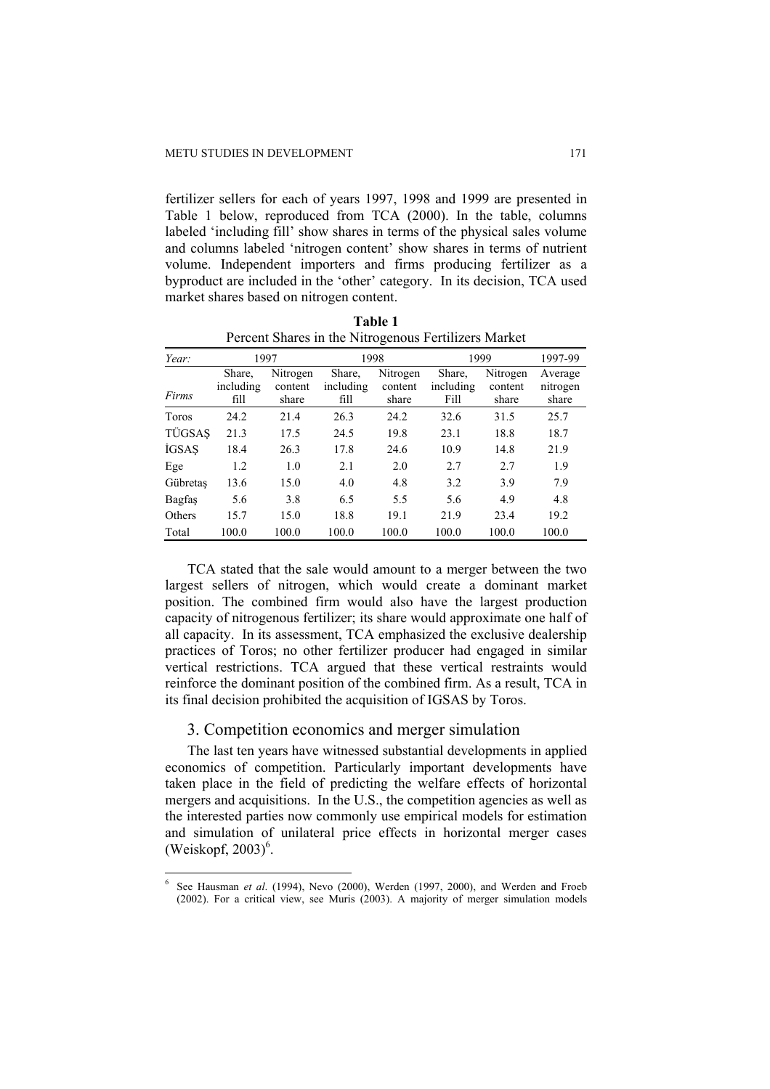fertilizer sellers for each of years 1997, 1998 and 1999 are presented in Table 1 below, reproduced from TCA (2000). In the table, columns labeled 'including fill' show shares in terms of the physical sales volume and columns labeled 'nitrogen content' show shares in terms of nutrient volume. Independent importers and firms producing fertilizer as a byproduct are included in the 'other' category. In its decision, TCA used market shares based on nitrogen content.

|               | I creent shares in the Full of chods I crimizers mained |          |           |          |           |          |          |  |
|---------------|---------------------------------------------------------|----------|-----------|----------|-----------|----------|----------|--|
| Year:         | 1997                                                    |          | 1998      |          | 1999      |          | 1997-99  |  |
|               | Share,                                                  | Nitrogen | Share,    | Nitrogen | Share,    | Nitrogen | Average  |  |
|               | including                                               | content  | including | content  | including | content  | nitrogen |  |
| Firms         | fill                                                    | share    | fill      | share    | Fill      | share    | share    |  |
| Toros         | 24.2                                                    | 21.4     | 26.3      | 24.2     | 32.6      | 31.5     | 25.7     |  |
| TÜGSAŞ        | 21.3                                                    | 17.5     | 24.5      | 19.8     | 23.1      | 18.8     | 18.7     |  |
| <b>İGSAS</b>  | 18.4                                                    | 26.3     | 17.8      | 24.6     | 10.9      | 14.8     | 21.9     |  |
| Ege           | 1.2                                                     | 1.0      | 2.1       | 2.0      | 2.7       | 2.7      | 1.9      |  |
| Gübretas      | 13.6                                                    | 15.0     | 4.0       | 4.8      | 3.2       | 3.9      | 7.9      |  |
| Bagfas        | 5.6                                                     | 3.8      | 6.5       | 5.5      | 5.6       | 4.9      | 4.8      |  |
| <b>Others</b> | 15.7                                                    | 15.0     | 18.8      | 19.1     | 21.9      | 23.4     | 19.2     |  |
| Total         | 100.0                                                   | 100.0    | 100.0     | 100.0    | 100.0     | 100.0    | 100.0    |  |

**Table 1**  Percent Shares in the Nitrogenous Fertilizers Market

TCA stated that the sale would amount to a merger between the two largest sellers of nitrogen, which would create a dominant market position. The combined firm would also have the largest production capacity of nitrogenous fertilizer; its share would approximate one half of all capacity. In its assessment, TCA emphasized the exclusive dealership practices of Toros; no other fertilizer producer had engaged in similar vertical restrictions. TCA argued that these vertical restraints would reinforce the dominant position of the combined firm. As a result, TCA in its final decision prohibited the acquisition of IGSAS by Toros.

#### 3. Competition economics and merger simulation

The last ten years have witnessed substantial developments in applied economics of competition. Particularly important developments have taken place in the field of predicting the welfare effects of horizontal mergers and acquisitions. In the U.S., the competition agencies as well as the interested parties now commonly use empirical models for estimation and simulation of unilateral price effects in horizontal merger cases  $(Weiskopf, 2003)^6$ .

<sup>6</sup> See Hausman *et al*. (1994), Nevo (2000), Werden (1997, 2000), and Werden and Froeb (2002). For a critical view, see Muris (2003). A majority of merger simulation models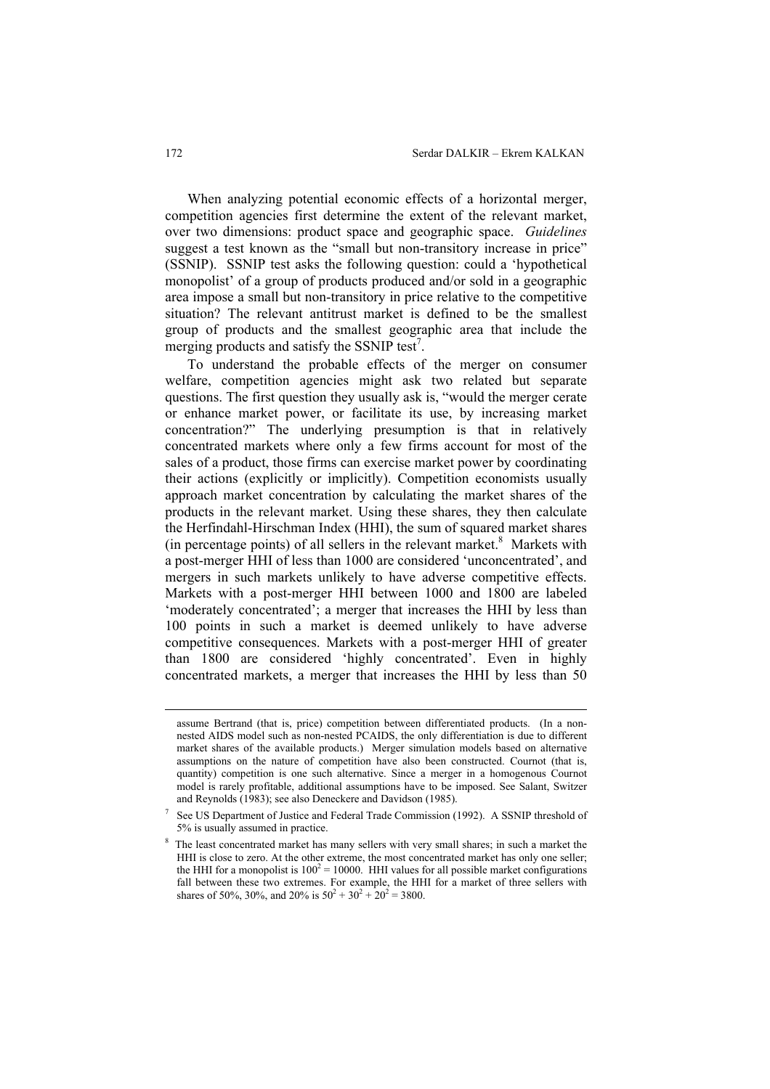When analyzing potential economic effects of a horizontal merger, competition agencies first determine the extent of the relevant market, over two dimensions: product space and geographic space. *Guidelines* suggest a test known as the "small but non-transitory increase in price" (SSNIP). SSNIP test asks the following question: could a 'hypothetical monopolist' of a group of products produced and/or sold in a geographic area impose a small but non-transitory in price relative to the competitive situation? The relevant antitrust market is defined to be the smallest group of products and the smallest geographic area that include the merging products and satisfy the SSNIP test<sup>7</sup>.

To understand the probable effects of the merger on consumer welfare, competition agencies might ask two related but separate questions. The first question they usually ask is, "would the merger cerate or enhance market power, or facilitate its use, by increasing market concentration?" The underlying presumption is that in relatively concentrated markets where only a few firms account for most of the sales of a product, those firms can exercise market power by coordinating their actions (explicitly or implicitly). Competition economists usually approach market concentration by calculating the market shares of the products in the relevant market. Using these shares, they then calculate the Herfindahl-Hirschman Index (HHI), the sum of squared market shares (in percentage points) of all sellers in the relevant market. $8$  Markets with a post-merger HHI of less than 1000 are considered 'unconcentrated', and mergers in such markets unlikely to have adverse competitive effects. Markets with a post-merger HHI between 1000 and 1800 are labeled 'moderately concentrated'; a merger that increases the HHI by less than 100 points in such a market is deemed unlikely to have adverse competitive consequences. Markets with a post-merger HHI of greater than 1800 are considered 'highly concentrated'. Even in highly concentrated markets, a merger that increases the HHI by less than 50

assume Bertrand (that is, price) competition between differentiated products. (In a nonnested AIDS model such as non-nested PCAIDS, the only differentiation is due to different market shares of the available products.) Merger simulation models based on alternative assumptions on the nature of competition have also been constructed. Cournot (that is, quantity) competition is one such alternative. Since a merger in a homogenous Cournot model is rarely profitable, additional assumptions have to be imposed. See Salant, Switzer and Reynolds (1983); see also Deneckere and Davidson (1985).

<sup>7</sup> See US Department of Justice and Federal Trade Commission (1992). A SSNIP threshold of 5% is usually assumed in practice.

<sup>&</sup>lt;sup>8</sup> The least concentrated market has many sellers with very small shares; in such a market the HHI is close to zero. At the other extreme, the most concentrated market has only one seller; the HHI for a monopolist is  $100^2 = 10000$ . HHI values for all possible market configurations fall between these two extremes. For example, the HHI for a market of three sellers with shares of 50%, 30%, and 20% is  $50^2 + 30^2 + 20^2 = 3800$ .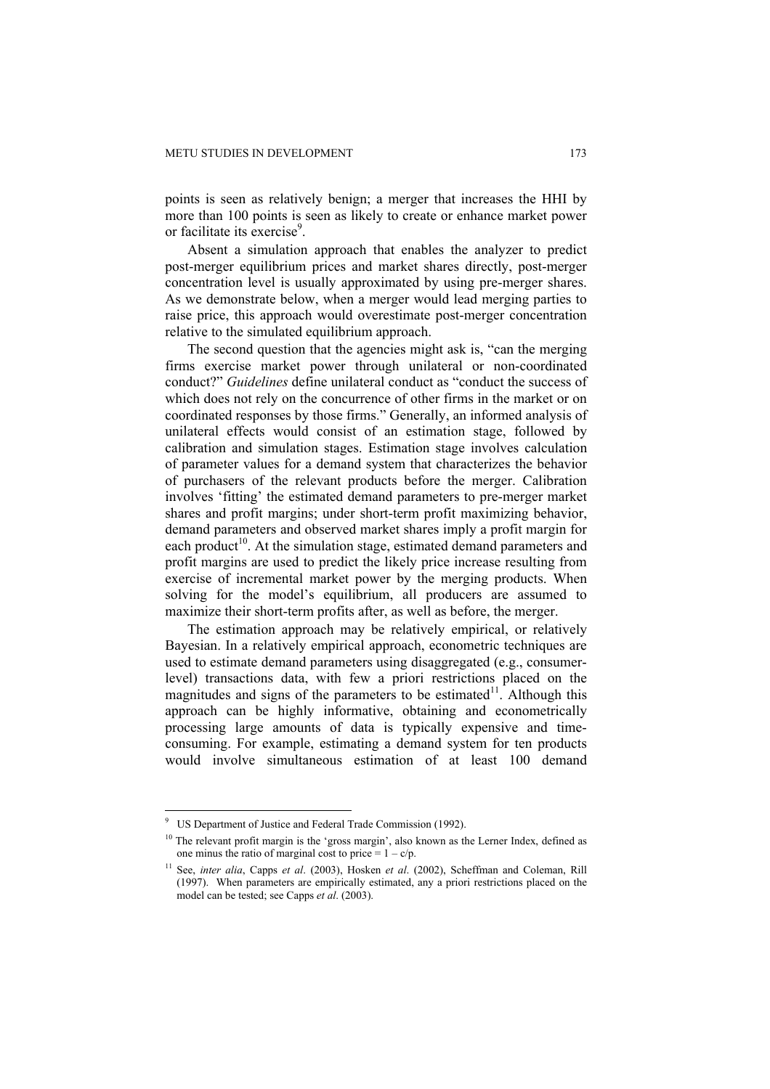points is seen as relatively benign; a merger that increases the HHI by more than 100 points is seen as likely to create or enhance market power or facilitate its exercise<sup>9</sup>.

Absent a simulation approach that enables the analyzer to predict post-merger equilibrium prices and market shares directly, post-merger concentration level is usually approximated by using pre-merger shares. As we demonstrate below, when a merger would lead merging parties to raise price, this approach would overestimate post-merger concentration relative to the simulated equilibrium approach.

The second question that the agencies might ask is, "can the merging firms exercise market power through unilateral or non-coordinated conduct?" *Guidelines* define unilateral conduct as "conduct the success of which does not rely on the concurrence of other firms in the market or on coordinated responses by those firms." Generally, an informed analysis of unilateral effects would consist of an estimation stage, followed by calibration and simulation stages. Estimation stage involves calculation of parameter values for a demand system that characterizes the behavior of purchasers of the relevant products before the merger. Calibration involves 'fitting' the estimated demand parameters to pre-merger market shares and profit margins; under short-term profit maximizing behavior, demand parameters and observed market shares imply a profit margin for each product<sup>10</sup>. At the simulation stage, estimated demand parameters and profit margins are used to predict the likely price increase resulting from exercise of incremental market power by the merging products. When solving for the model's equilibrium, all producers are assumed to maximize their short-term profits after, as well as before, the merger.

The estimation approach may be relatively empirical, or relatively Bayesian. In a relatively empirical approach, econometric techniques are used to estimate demand parameters using disaggregated (e.g., consumerlevel) transactions data, with few a priori restrictions placed on the magnitudes and signs of the parameters to be estimated $11$ . Although this approach can be highly informative, obtaining and econometrically processing large amounts of data is typically expensive and timeconsuming. For example, estimating a demand system for ten products would involve simultaneous estimation of at least 100 demand

<sup>9</sup> US Department of Justice and Federal Trade Commission (1992).

<sup>&</sup>lt;sup>10</sup> The relevant profit margin is the 'gross margin', also known as the Lerner Index, defined as one minus the ratio of marginal cost to price  $= 1 - c/p$ .

<sup>11</sup> See, *inter alia*, Capps *et al*. (2003), Hosken *et al*. (2002), Scheffman and Coleman, Rill (1997). When parameters are empirically estimated, any a priori restrictions placed on the model can be tested; see Capps *et al*. (2003).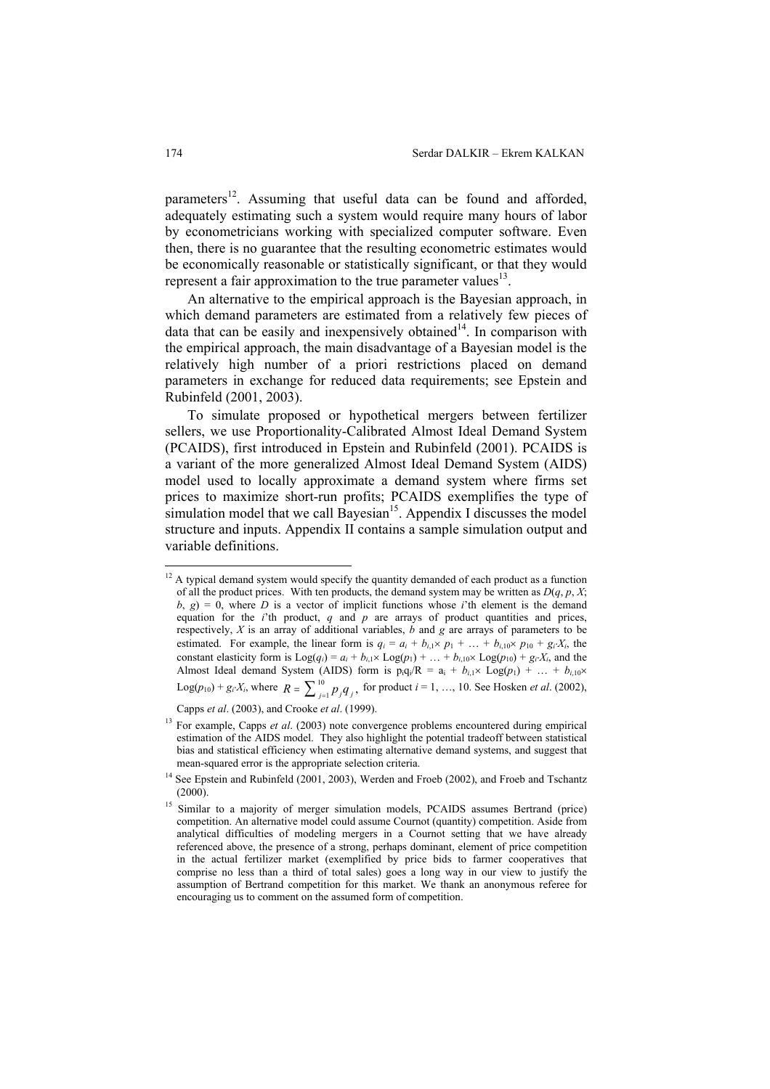parameters<sup>12</sup>. Assuming that useful data can be found and afforded, adequately estimating such a system would require many hours of labor by econometricians working with specialized computer software. Even then, there is no guarantee that the resulting econometric estimates would be economically reasonable or statistically significant, or that they would represent a fair approximation to the true parameter values $^{13}$ .

An alternative to the empirical approach is the Bayesian approach, in which demand parameters are estimated from a relatively few pieces of data that can be easily and inexpensively obtained<sup>14</sup>. In comparison with the empirical approach, the main disadvantage of a Bayesian model is the relatively high number of a priori restrictions placed on demand parameters in exchange for reduced data requirements; see Epstein and Rubinfeld (2001, 2003).

To simulate proposed or hypothetical mergers between fertilizer sellers, we use Proportionality-Calibrated Almost Ideal Demand System (PCAIDS), first introduced in Epstein and Rubinfeld (2001). PCAIDS is a variant of the more generalized Almost Ideal Demand System (AIDS) model used to locally approximate a demand system where firms set prices to maximize short-run profits; PCAIDS exemplifies the type of simulation model that we call Bayesian<sup>15</sup>. Appendix I discusses the model structure and inputs. Appendix II contains a sample simulation output and variable definitions.

Capps *et al*. (2003), and Crooke *et al*. (1999).

 $\overline{a}$  $12$  A typical demand system would specify the quantity demanded of each product as a function of all the product prices. With ten products, the demand system may be written as *D*(*q*, *p*, *X*;  $b, g$ ) = 0, where *D* is a vector of implicit functions whose *i*'th element is the demand equation for the  $i$ 'th product,  $q$  and  $p$  are arrays of product quantities and prices, respectively, *X* is an array of additional variables, *b* and *g* are arrays of parameters to be estimated. For example, the linear form is  $q_i = a_i + b_{i,1} \times p_1 + \ldots + b_{i,10} \times p_{10} + g_i X_i$ , the constant elasticity form is  $\text{Log}(q_i) = a_i + b_{i,1} \times \text{Log}(p_1) + \ldots + b_{i,10} \times \text{Log}(p_{10}) + g_i \cdot X_i$ , and the Almost Ideal demand System (AIDS) form is  $p_iq_i/R = a_i + b_{i,1} \times Log(p_1) + ... + b_{i,10} \times D(p_i)$  $Log(p_{10}) + g_i \cdot X_i$ , where  $R = \sum_{j=1}^{10} p_j q_j$ , for product *i* = 1, …, 10. See Hosken *et al.* (2002),

<sup>13</sup> For example, Capps *et al*. (2003) note convergence problems encountered during empirical estimation of the AIDS model. They also highlight the potential tradeoff between statistical bias and statistical efficiency when estimating alternative demand systems, and suggest that mean-squared error is the appropriate selection criteria.

<sup>&</sup>lt;sup>14</sup> See Epstein and Rubinfeld (2001, 2003), Werden and Froeb (2002), and Froeb and Tschantz  $(2000)$ .

<sup>&</sup>lt;sup>15</sup> Similar to a majority of merger simulation models, PCAIDS assumes Bertrand (price) competition. An alternative model could assume Cournot (quantity) competition. Aside from analytical difficulties of modeling mergers in a Cournot setting that we have already referenced above, the presence of a strong, perhaps dominant, element of price competition in the actual fertilizer market (exemplified by price bids to farmer cooperatives that comprise no less than a third of total sales) goes a long way in our view to justify the assumption of Bertrand competition for this market. We thank an anonymous referee for encouraging us to comment on the assumed form of competition.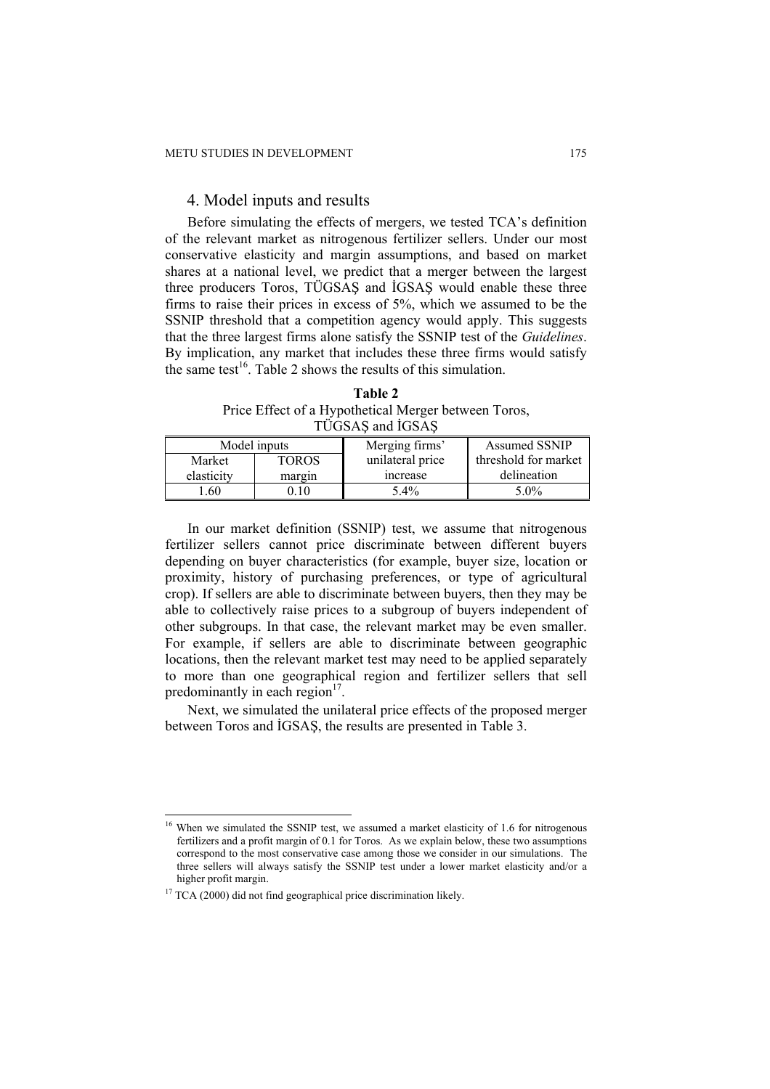## 4. Model inputs and results

Before simulating the effects of mergers, we tested TCA's definition of the relevant market as nitrogenous fertilizer sellers. Under our most conservative elasticity and margin assumptions, and based on market shares at a national level, we predict that a merger between the largest three producers Toros, TÜGSAŞ and İGSAŞ would enable these three firms to raise their prices in excess of 5%, which we assumed to be the SSNIP threshold that a competition agency would apply. This suggests that the three largest firms alone satisfy the SSNIP test of the *Guidelines*. By implication, any market that includes these three firms would satisfy the same test<sup>16</sup>. Table 2 shows the results of this simulation.

**Table 2**  Price Effect of a Hypothetical Merger between Toros, TÜGSAŞ and İGSAŞ

| Model inputs |              | Merging firms'   | <b>Assumed SSNIP</b> |  |
|--------------|--------------|------------------|----------------------|--|
| Market       | <b>TOROS</b> | unilateral price | threshold for market |  |
| elasticity   | margin       | increase         | delineation          |  |
| .60          |              | $5.4\%$          | $5.0\%$              |  |

In our market definition (SSNIP) test, we assume that nitrogenous fertilizer sellers cannot price discriminate between different buyers depending on buyer characteristics (for example, buyer size, location or proximity, history of purchasing preferences, or type of agricultural crop). If sellers are able to discriminate between buyers, then they may be able to collectively raise prices to a subgroup of buyers independent of other subgroups. In that case, the relevant market may be even smaller. For example, if sellers are able to discriminate between geographic locations, then the relevant market test may need to be applied separately to more than one geographical region and fertilizer sellers that sell predominantly in each region $17$ .

Next, we simulated the unilateral price effects of the proposed merger between Toros and İGSAŞ, the results are presented in Table 3.

<sup>&</sup>lt;sup>16</sup> When we simulated the SSNIP test, we assumed a market elasticity of 1.6 for nitrogenous fertilizers and a profit margin of 0.1 for Toros. As we explain below, these two assumptions correspond to the most conservative case among those we consider in our simulations. The three sellers will always satisfy the SSNIP test under a lower market elasticity and/or a higher profit margin.

 $17$  TCA (2000) did not find geographical price discrimination likely.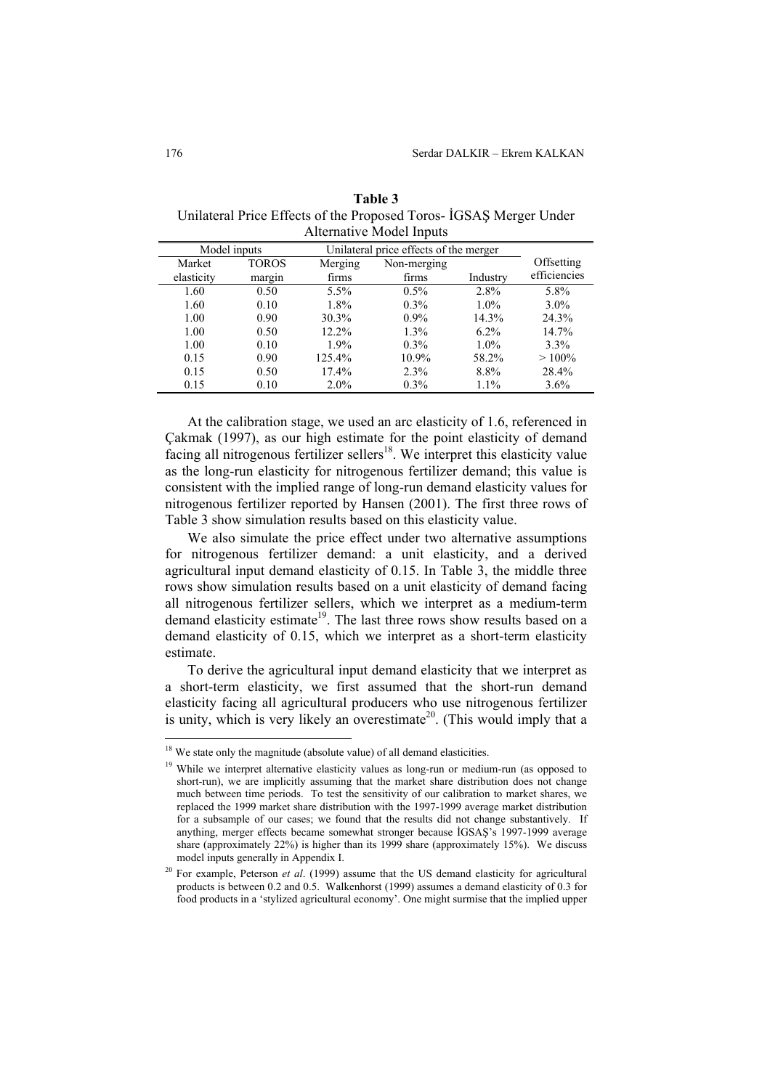| Model inputs |              | Unilateral price effects of the merger |             |          |              |
|--------------|--------------|----------------------------------------|-------------|----------|--------------|
| Market       | <b>TOROS</b> | Merging                                | Non-merging |          | Offsetting   |
| elasticity   | margin       | firms                                  | firms       | Industry | efficiencies |
| 1.60         | 0.50         | 5.5%                                   | $0.5\%$     | 2.8%     | 5.8%         |
| 1.60         | 0.10         | 1.8%                                   | $0.3\%$     | $1.0\%$  | $3.0\%$      |
| 1.00         | 0.90         | 30.3%                                  | $0.9\%$     | 14.3%    | 24.3%        |
| 1.00         | 0.50         | $12.2\%$                               | $1.3\%$     | $6.2\%$  | 14.7%        |
| 1.00         | 0.10         | $1.9\%$                                | $0.3\%$     | $1.0\%$  | $3.3\%$      |
| 0.15         | 0.90         | 125.4%                                 | 10.9%       | 58.2%    | $>100\%$     |
| 0.15         | 0.50         | 17.4%                                  | 2.3%        | 8.8%     | 28.4%        |
| 0.15         | 0.10         | $2.0\%$                                | $0.3\%$     | 1.1%     | $3.6\%$      |

**Table 3**  Unilateral Price Effects of the Proposed Toros- İGSAŞ Merger Under Alternative Model Inputs

At the calibration stage, we used an arc elasticity of 1.6, referenced in Çakmak (1997), as our high estimate for the point elasticity of demand facing all nitrogenous fertilizer sellers<sup>18</sup>. We interpret this elasticity value as the long-run elasticity for nitrogenous fertilizer demand; this value is consistent with the implied range of long-run demand elasticity values for nitrogenous fertilizer reported by Hansen (2001). The first three rows of Table 3 show simulation results based on this elasticity value.

We also simulate the price effect under two alternative assumptions for nitrogenous fertilizer demand: a unit elasticity, and a derived agricultural input demand elasticity of 0.15. In Table 3, the middle three rows show simulation results based on a unit elasticity of demand facing all nitrogenous fertilizer sellers, which we interpret as a medium-term demand elasticity estimate<sup>19</sup>. The last three rows show results based on a demand elasticity of 0.15, which we interpret as a short-term elasticity estimate.

To derive the agricultural input demand elasticity that we interpret as a short-term elasticity, we first assumed that the short-run demand elasticity facing all agricultural producers who use nitrogenous fertilizer is unity, which is very likely an overestimate<sup>20</sup>. (This would imply that a

 $18$  We state only the magnitude (absolute value) of all demand elasticities.

<sup>&</sup>lt;sup>19</sup> While we interpret alternative elasticity values as long-run or medium-run (as opposed to short-run), we are implicitly assuming that the market share distribution does not change much between time periods. To test the sensitivity of our calibration to market shares, we replaced the 1999 market share distribution with the 1997-1999 average market distribution for a subsample of our cases; we found that the results did not change substantively. If anything, merger effects became somewhat stronger because İGSAŞ's 1997-1999 average share (approximately 22%) is higher than its 1999 share (approximately 15%). We discuss model inputs generally in Appendix I.

<sup>&</sup>lt;sup>20</sup> For example, Peterson *et al.* (1999) assume that the US demand elasticity for agricultural products is between 0.2 and 0.5. Walkenhorst (1999) assumes a demand elasticity of 0.3 for food products in a 'stylized agricultural economy'. One might surmise that the implied upper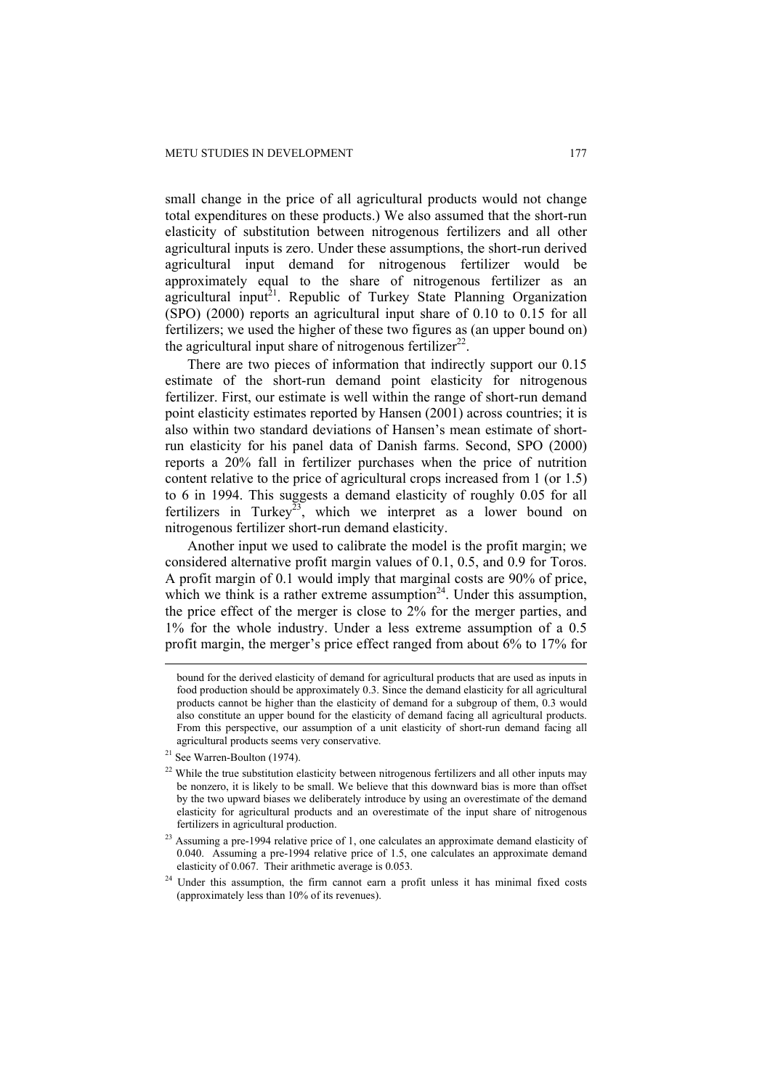small change in the price of all agricultural products would not change total expenditures on these products.) We also assumed that the short-run elasticity of substitution between nitrogenous fertilizers and all other agricultural inputs is zero. Under these assumptions, the short-run derived agricultural input demand for nitrogenous fertilizer would be approximately equal to the share of nitrogenous fertilizer as an agricultural input<sup>21</sup>. Republic of Turkey State Planning Organization (SPO) (2000) reports an agricultural input share of 0.10 to 0.15 for all fertilizers; we used the higher of these two figures as (an upper bound on) the agricultural input share of nitrogenous fertilizer<sup>22</sup>.

There are two pieces of information that indirectly support our 0.15 estimate of the short-run demand point elasticity for nitrogenous fertilizer. First, our estimate is well within the range of short-run demand point elasticity estimates reported by Hansen (2001) across countries; it is also within two standard deviations of Hansen's mean estimate of shortrun elasticity for his panel data of Danish farms. Second, SPO (2000) reports a 20% fall in fertilizer purchases when the price of nutrition content relative to the price of agricultural crops increased from 1 (or 1.5) to 6 in 1994. This suggests a demand elasticity of roughly 0.05 for all fertilizers in Turkey<sup>23</sup>, which we interpret as a lower bound on nitrogenous fertilizer short-run demand elasticity.

Another input we used to calibrate the model is the profit margin; we considered alternative profit margin values of 0.1, 0.5, and 0.9 for Toros. A profit margin of 0.1 would imply that marginal costs are 90% of price, which we think is a rather extreme assumption<sup>24</sup>. Under this assumption, the price effect of the merger is close to 2% for the merger parties, and 1% for the whole industry. Under a less extreme assumption of a 0.5 profit margin, the merger's price effect ranged from about 6% to 17% for

bound for the derived elasticity of demand for agricultural products that are used as inputs in food production should be approximately 0.3. Since the demand elasticity for all agricultural products cannot be higher than the elasticity of demand for a subgroup of them, 0.3 would also constitute an upper bound for the elasticity of demand facing all agricultural products. From this perspective, our assumption of a unit elasticity of short-run demand facing all agricultural products seems very conservative.

<sup>&</sup>lt;sup>21</sup> See Warren-Boulton (1974).

<sup>&</sup>lt;sup>22</sup> While the true substitution elasticity between nitrogenous fertilizers and all other inputs may be nonzero, it is likely to be small. We believe that this downward bias is more than offset by the two upward biases we deliberately introduce by using an overestimate of the demand elasticity for agricultural products and an overestimate of the input share of nitrogenous fertilizers in agricultural production.

<sup>&</sup>lt;sup>23</sup> Assuming a pre-1994 relative price of 1, one calculates an approximate demand elasticity of 0.040. Assuming a pre-1994 relative price of 1.5, one calculates an approximate demand elasticity of 0.067. Their arithmetic average is 0.053.

<sup>&</sup>lt;sup>24</sup> Under this assumption, the firm cannot earn a profit unless it has minimal fixed costs (approximately less than 10% of its revenues).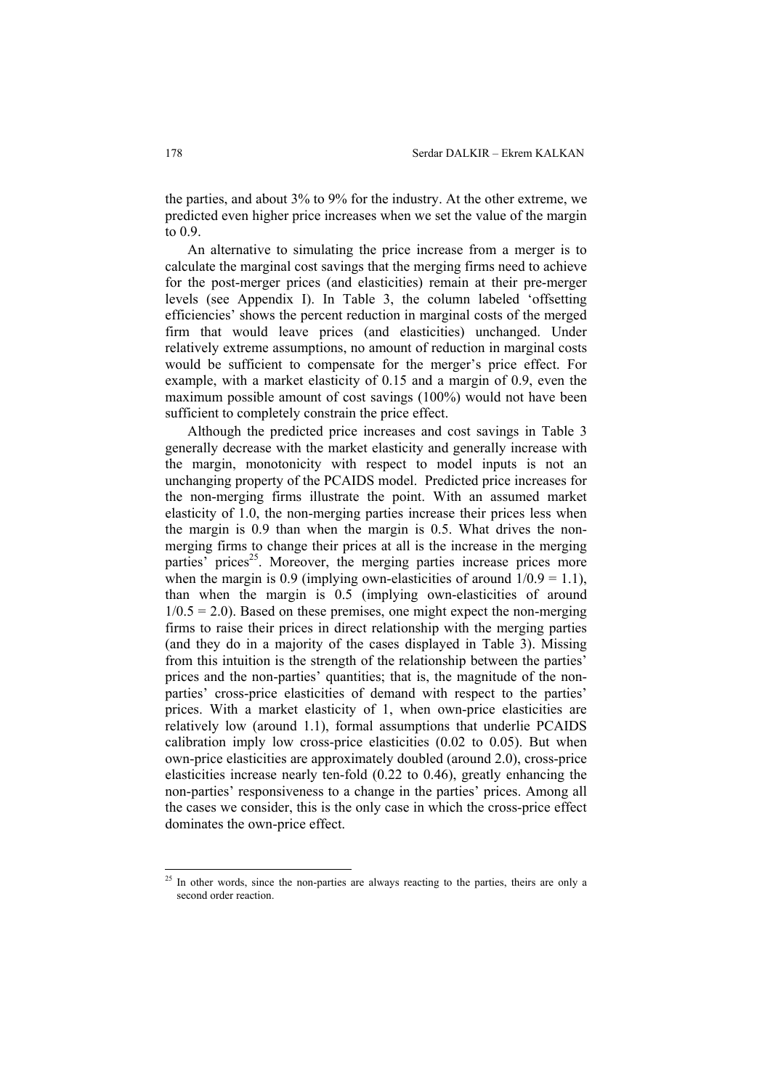the parties, and about 3% to 9% for the industry. At the other extreme, we predicted even higher price increases when we set the value of the margin to 0.9.

An alternative to simulating the price increase from a merger is to calculate the marginal cost savings that the merging firms need to achieve for the post-merger prices (and elasticities) remain at their pre-merger levels (see Appendix I). In Table 3, the column labeled 'offsetting efficiencies' shows the percent reduction in marginal costs of the merged firm that would leave prices (and elasticities) unchanged. Under relatively extreme assumptions, no amount of reduction in marginal costs would be sufficient to compensate for the merger's price effect. For example, with a market elasticity of 0.15 and a margin of 0.9, even the maximum possible amount of cost savings (100%) would not have been sufficient to completely constrain the price effect.

Although the predicted price increases and cost savings in Table 3 generally decrease with the market elasticity and generally increase with the margin, monotonicity with respect to model inputs is not an unchanging property of the PCAIDS model. Predicted price increases for the non-merging firms illustrate the point. With an assumed market elasticity of 1.0, the non-merging parties increase their prices less when the margin is 0.9 than when the margin is 0.5. What drives the nonmerging firms to change their prices at all is the increase in the merging parties' prices<sup>25</sup>. Moreover, the merging parties increase prices more when the margin is 0.9 (implying own-elasticities of around  $1/0.9 = 1.1$ ), than when the margin is 0.5 (implying own-elasticities of around  $1/0.5 = 2.0$ ). Based on these premises, one might expect the non-merging firms to raise their prices in direct relationship with the merging parties (and they do in a majority of the cases displayed in Table 3). Missing from this intuition is the strength of the relationship between the parties' prices and the non-parties' quantities; that is, the magnitude of the nonparties' cross-price elasticities of demand with respect to the parties' prices. With a market elasticity of 1, when own-price elasticities are relatively low (around 1.1), formal assumptions that underlie PCAIDS calibration imply low cross-price elasticities (0.02 to 0.05). But when own-price elasticities are approximately doubled (around 2.0), cross-price elasticities increase nearly ten-fold (0.22 to 0.46), greatly enhancing the non-parties' responsiveness to a change in the parties' prices. Among all the cases we consider, this is the only case in which the cross-price effect dominates the own-price effect.

<sup>&</sup>lt;sup>25</sup> In other words, since the non-parties are always reacting to the parties, theirs are only a second order reaction.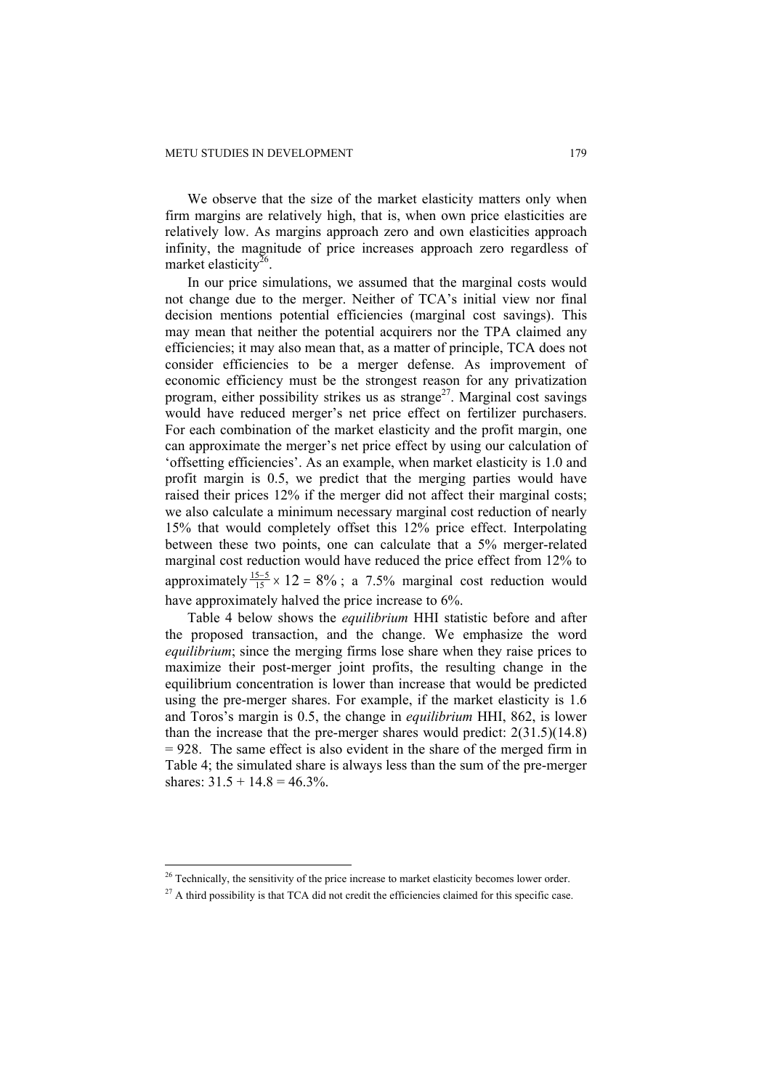We observe that the size of the market elasticity matters only when firm margins are relatively high, that is, when own price elasticities are relatively low. As margins approach zero and own elasticities approach infinity, the magnitude of price increases approach zero regardless of market elasticity<sup>26</sup>.

In our price simulations, we assumed that the marginal costs would not change due to the merger. Neither of TCA's initial view nor final decision mentions potential efficiencies (marginal cost savings). This may mean that neither the potential acquirers nor the TPA claimed any efficiencies; it may also mean that, as a matter of principle, TCA does not consider efficiencies to be a merger defense. As improvement of economic efficiency must be the strongest reason for any privatization program, either possibility strikes us as strange<sup>27</sup>. Marginal cost savings would have reduced merger's net price effect on fertilizer purchasers. For each combination of the market elasticity and the profit margin, one can approximate the merger's net price effect by using our calculation of 'offsetting efficiencies'. As an example, when market elasticity is 1.0 and profit margin is 0.5, we predict that the merging parties would have raised their prices 12% if the merger did not affect their marginal costs; we also calculate a minimum necessary marginal cost reduction of nearly 15% that would completely offset this 12% price effect. Interpolating between these two points, one can calculate that a 5% merger-related marginal cost reduction would have reduced the price effect from 12% to approximately  $\frac{15-5}{15} \times 12 = 8\%$ ; a 7.5% marginal cost reduction would have approximately halved the price increase to 6%.

Table 4 below shows the *equilibrium* HHI statistic before and after the proposed transaction, and the change. We emphasize the word *equilibrium*; since the merging firms lose share when they raise prices to maximize their post-merger joint profits, the resulting change in the equilibrium concentration is lower than increase that would be predicted using the pre-merger shares. For example, if the market elasticity is 1.6 and Toros's margin is 0.5, the change in *equilibrium* HHI, 862, is lower than the increase that the pre-merger shares would predict: 2(31.5)(14.8) = 928. The same effect is also evident in the share of the merged firm in Table 4; the simulated share is always less than the sum of the pre-merger shares:  $31.5 + 14.8 = 46.3\%$ .

 $26$  Technically, the sensitivity of the price increase to market elasticity becomes lower order.

 $27$  A third possibility is that TCA did not credit the efficiencies claimed for this specific case.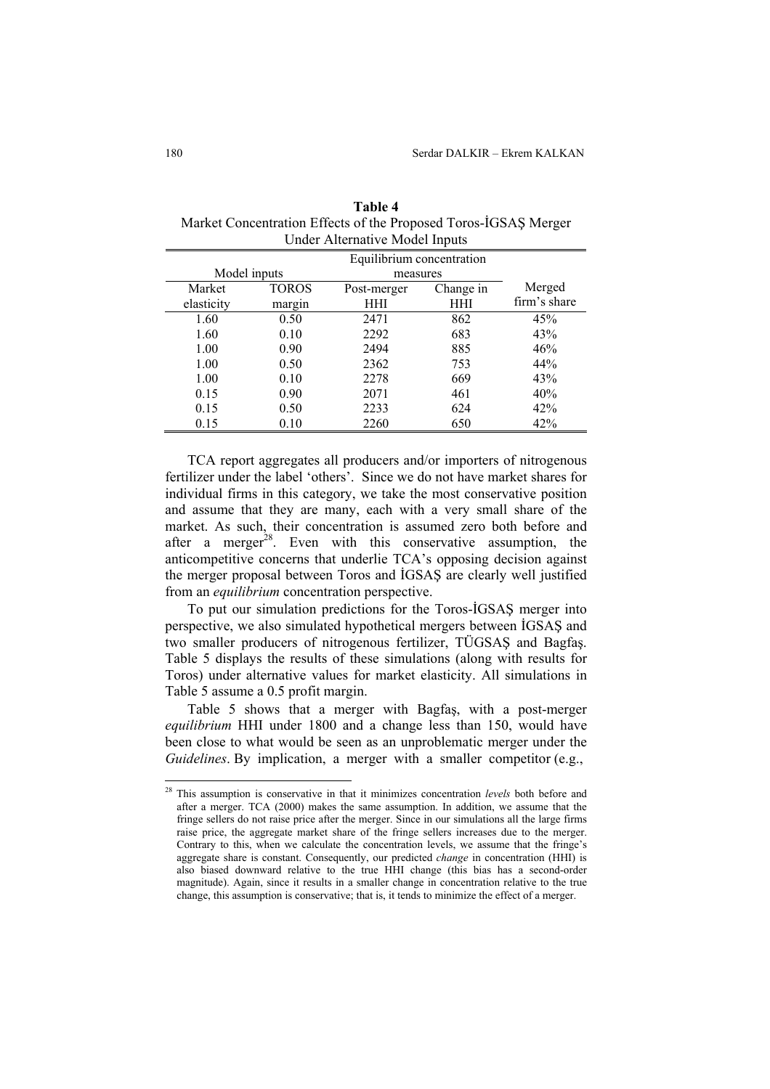| Equilibrium concentration |              |             |           |              |
|---------------------------|--------------|-------------|-----------|--------------|
| Model inputs              |              | measures    |           |              |
| Market                    | <b>TOROS</b> | Post-merger | Change in | Merged       |
| elasticity                | margin       | HHI         | HHI       | firm's share |
| 1.60                      | 0.50         | 2471        | 862       | 45%          |
| 1.60                      | 0.10         | 2292        | 683       | 43%          |
| 1.00                      | 0.90         | 2494        | 885       | 46%          |
| 1.00                      | 0.50         | 2362        | 753       | 44%          |
| 1.00                      | 0.10         | 2278        | 669       | 43%          |
| 0.15                      | 0.90         | 2071        | 461       | 40%          |
| 0.15                      | 0.50         | 2233        | 624       | 42%          |
| 0.15                      | 0.10         | 2260        | 650       | 42%          |

| Table 4                                                         |
|-----------------------------------------------------------------|
| Market Concentration Effects of the Proposed Toros-IGSAS Merger |
| Under Alternative Model Inputs                                  |

TCA report aggregates all producers and/or importers of nitrogenous fertilizer under the label 'others'. Since we do not have market shares for individual firms in this category, we take the most conservative position and assume that they are many, each with a very small share of the market. As such, their concentration is assumed zero both before and after a merger<sup>28</sup>. Even with this conservative assumption, the anticompetitive concerns that underlie TCA's opposing decision against the merger proposal between Toros and İGSAŞ are clearly well justified from an *equilibrium* concentration perspective.

To put our simulation predictions for the Toros-İGSAŞ merger into perspective, we also simulated hypothetical mergers between İGSAŞ and two smaller producers of nitrogenous fertilizer, TÜGSAŞ and Bagfaş. Table 5 displays the results of these simulations (along with results for Toros) under alternative values for market elasticity. All simulations in Table 5 assume a 0.5 profit margin.

Table 5 shows that a merger with Bagfaş, with a post-merger *equilibrium* HHI under 1800 and a change less than 150, would have been close to what would be seen as an unproblematic merger under the *Guidelines*. By implication, a merger with a smaller competitor (e.g.,

<sup>28</sup> This assumption is conservative in that it minimizes concentration *levels* both before and after a merger. TCA (2000) makes the same assumption. In addition, we assume that the fringe sellers do not raise price after the merger. Since in our simulations all the large firms raise price, the aggregate market share of the fringe sellers increases due to the merger. Contrary to this, when we calculate the concentration levels, we assume that the fringe's aggregate share is constant. Consequently, our predicted *change* in concentration (HHI) is also biased downward relative to the true HHI change (this bias has a second-order magnitude). Again, since it results in a smaller change in concentration relative to the true change, this assumption is conservative; that is, it tends to minimize the effect of a merger.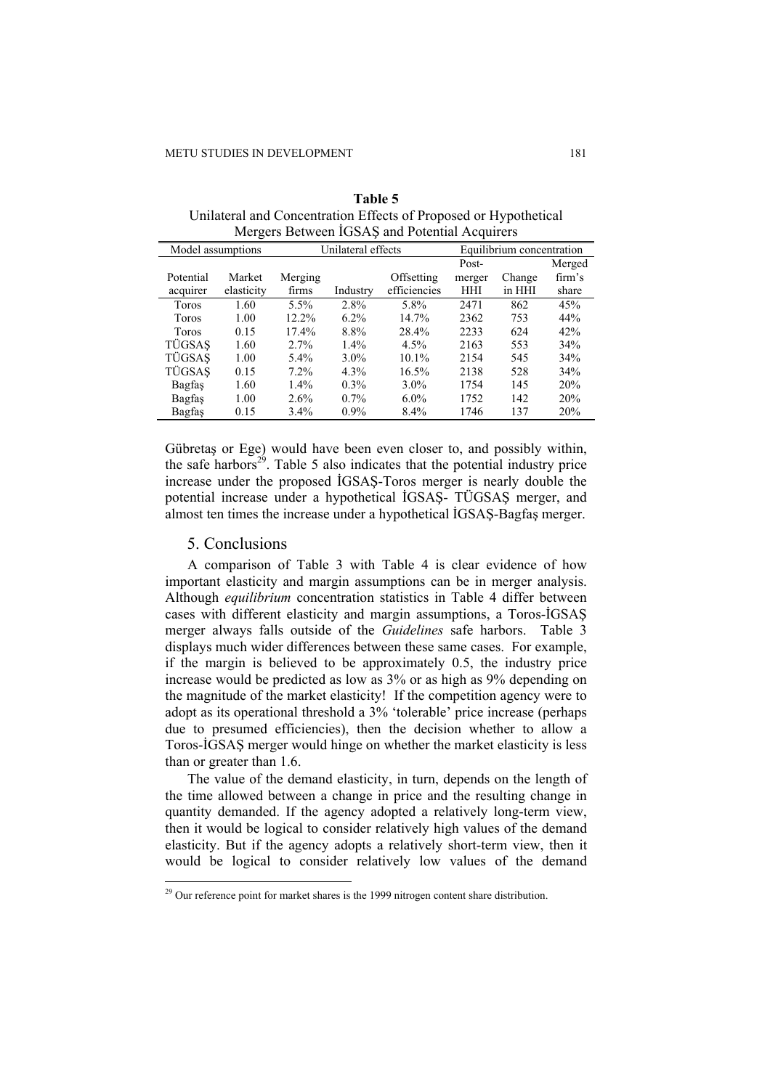| Model assumptions |            | Unilateral effects |          |              | Equilibrium concentration |        |        |
|-------------------|------------|--------------------|----------|--------------|---------------------------|--------|--------|
|                   |            |                    |          |              | Post-                     |        | Merged |
| Potential         | Market     | Merging            |          | Offsetting   | merger                    | Change | firm's |
| acquirer          | elasticity | firms              | Industry | efficiencies | HHI                       | in HHI | share  |
| Toros             | 1.60       | $5.5\%$            | 2.8%     | 5.8%         | 2471                      | 862    | 45%    |
| <b>Toros</b>      | 1.00       | 12.2%              | $6.2\%$  | $14.7\%$     | 2362                      | 753    | 44%    |
| Toros             | 0.15       | 17.4%              | 8.8%     | 28.4%        | 2233                      | 624    | 42%    |
| TÜGSAS            | 1.60       | 2.7%               | $1.4\%$  | 4.5%         | 2163                      | 553    | 34%    |
| TÜGSAS            | 1.00       | $5.4\%$            | $3.0\%$  | $10.1\%$     | 2154                      | 545    | 34%    |
| TÜGSAS            | 0.15       | 7.2%               | 4.3%     | 16.5%        | 2138                      | 528    | 34%    |
| Bagfas            | 1.60       | $1.4\%$            | $0.3\%$  | $3.0\%$      | 1754                      | 145    | 20%    |
| Bagfas            | 1.00       | 2.6%               | $0.7\%$  | $6.0\%$      | 1752                      | 142    | 20%    |
| Bagfas            | 0.15       | $3.4\%$            | $0.9\%$  | 8.4%         | 1746                      | 137    | 20%    |

**Table 5**  Unilateral and Concentration Effects of Proposed or Hypothetical Mergers Between İGSAŞ and Potential Acquirers

Gübretaş or Ege) would have been even closer to, and possibly within, the safe harbors<sup>29</sup>. Table 5 also indicates that the potential industry price increase under the proposed İGSAŞ-Toros merger is nearly double the potential increase under a hypothetical İGSAŞ- TÜGSAŞ merger, and almost ten times the increase under a hypothetical İGSAŞ-Bagfaş merger.

#### 5. Conclusions

 $\overline{a}$ 

A comparison of Table 3 with Table 4 is clear evidence of how important elasticity and margin assumptions can be in merger analysis. Although *equilibrium* concentration statistics in Table 4 differ between cases with different elasticity and margin assumptions, a Toros-İGSAŞ merger always falls outside of the *Guidelines* safe harbors. Table 3 displays much wider differences between these same cases. For example, if the margin is believed to be approximately 0.5, the industry price increase would be predicted as low as 3% or as high as 9% depending on the magnitude of the market elasticity! If the competition agency were to adopt as its operational threshold a 3% 'tolerable' price increase (perhaps due to presumed efficiencies), then the decision whether to allow a Toros-İGSAŞ merger would hinge on whether the market elasticity is less than or greater than 1.6.

The value of the demand elasticity, in turn, depends on the length of the time allowed between a change in price and the resulting change in quantity demanded. If the agency adopted a relatively long-term view, then it would be logical to consider relatively high values of the demand elasticity. But if the agency adopts a relatively short-term view, then it would be logical to consider relatively low values of the demand

 $29$  Our reference point for market shares is the 1999 nitrogen content share distribution.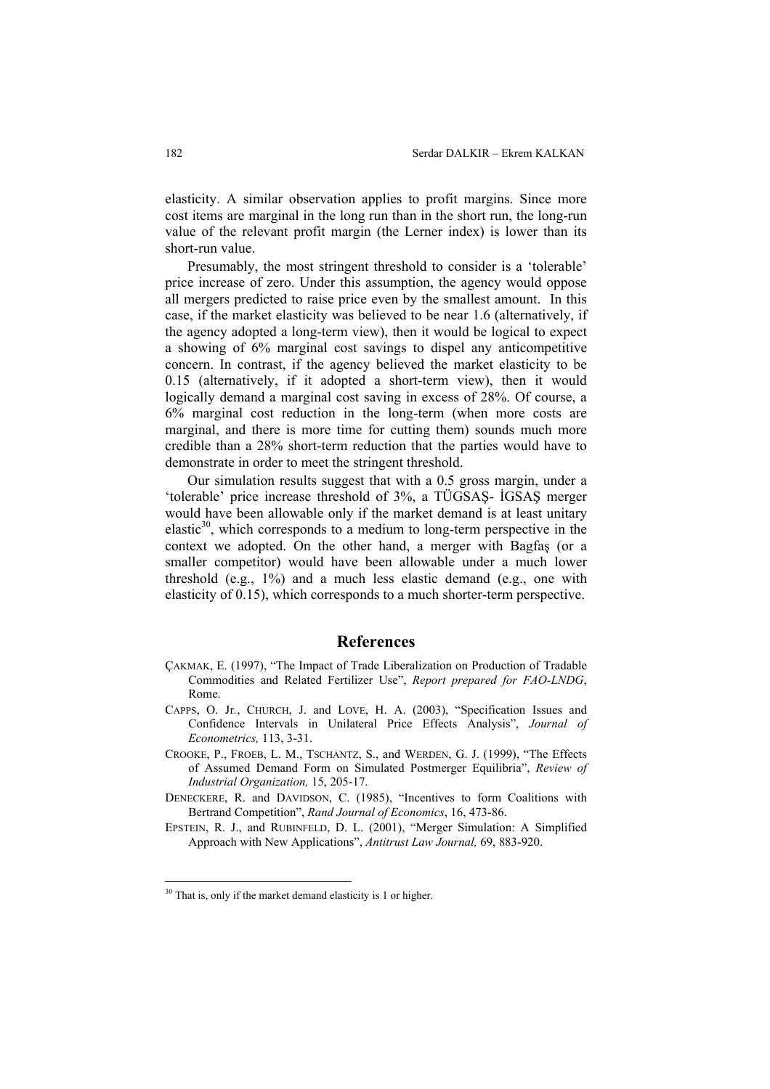elasticity. A similar observation applies to profit margins. Since more cost items are marginal in the long run than in the short run, the long-run value of the relevant profit margin (the Lerner index) is lower than its short-run value.

Presumably, the most stringent threshold to consider is a 'tolerable' price increase of zero. Under this assumption, the agency would oppose all mergers predicted to raise price even by the smallest amount. In this case, if the market elasticity was believed to be near 1.6 (alternatively, if the agency adopted a long-term view), then it would be logical to expect a showing of 6% marginal cost savings to dispel any anticompetitive concern. In contrast, if the agency believed the market elasticity to be 0.15 (alternatively, if it adopted a short-term view), then it would logically demand a marginal cost saving in excess of 28%. Of course, a 6% marginal cost reduction in the long-term (when more costs are marginal, and there is more time for cutting them) sounds much more credible than a 28% short-term reduction that the parties would have to demonstrate in order to meet the stringent threshold.

Our simulation results suggest that with a 0.5 gross margin, under a 'tolerable' price increase threshold of 3%, a TÜGSAŞ- İGSAŞ merger would have been allowable only if the market demand is at least unitary elastic $30$ , which corresponds to a medium to long-term perspective in the context we adopted. On the other hand, a merger with Bagfaş (or a smaller competitor) would have been allowable under a much lower threshold (e.g., 1%) and a much less elastic demand (e.g., one with elasticity of 0.15), which corresponds to a much shorter-term perspective.

#### **References**

- ÇAKMAK, E. (1997), "The Impact of Trade Liberalization on Production of Tradable Commodities and Related Fertilizer Use", *Report prepared for FAO-LNDG*, Rome.
- CAPPS, O. Jr*.*, CHURCH, J. and LOVE, H. A. (2003), "Specification Issues and Confidence Intervals in Unilateral Price Effects Analysis", *Journal of Econometrics,* 113, 3-31.
- CROOKE, P., FROEB, L. M., TSCHANTZ, S., and WERDEN, G. J. (1999), "The Effects of Assumed Demand Form on Simulated Postmerger Equilibria", *Review of Industrial Organization,* 15, 205-17.
- DENECKERE, R. and DAVIDSON, C. (1985), "Incentives to form Coalitions with Bertrand Competition", *Rand Journal of Economics*, 16, 473-86.
- EPSTEIN, R. J., and RUBINFELD, D. L. (2001), "Merger Simulation: A Simplified Approach with New Applications", *Antitrust Law Journal,* 69, 883-920.

<sup>&</sup>lt;sup>30</sup> That is, only if the market demand elasticity is 1 or higher.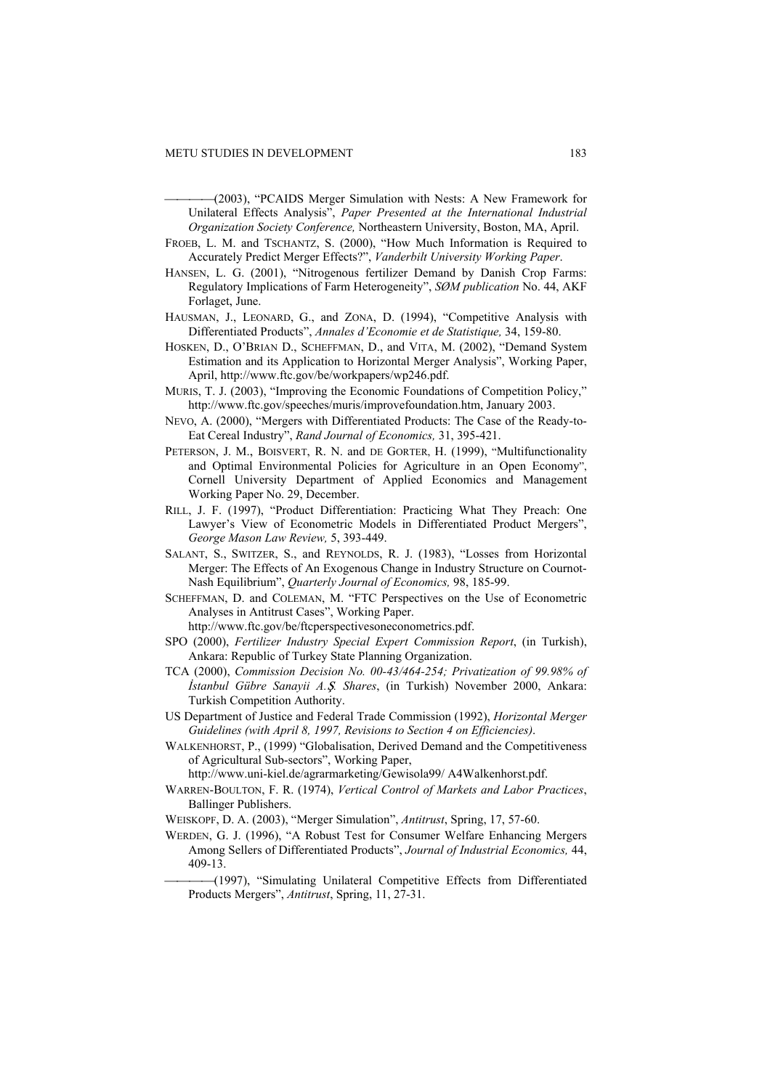- (2003), "PCAIDS Merger Simulation with Nests: A New Framework for Unilateral Effects Analysis", *Paper Presented at the International Industrial Organization Society Conference,* Northeastern University, Boston, MA, April.
- FROEB, L. M. and TSCHANTZ, S. (2000), "How Much Information is Required to Accurately Predict Merger Effects?", *Vanderbilt University Working Paper*.
- HANSEN, L. G. (2001), "Nitrogenous fertilizer Demand by Danish Crop Farms: Regulatory Implications of Farm Heterogeneity", *SØM publication* No. 44, AKF Forlaget, June.
- HAUSMAN, J., LEONARD, G., and ZONA, D. (1994), "Competitive Analysis with Differentiated Products", *Annales d'Economie et de Statistique,* 34, 159-80.
- HOSKEN, D., O'BRIAN D., SCHEFFMAN, D., and VITA, M. (2002), "Demand System Estimation and its Application to Horizontal Merger Analysis", Working Paper, April, http://www.ftc.gov/be/workpapers/wp246.pdf.
- MURIS, T. J. (2003), "Improving the Economic Foundations of Competition Policy," http://www.ftc.gov/speeches/muris/improvefoundation.htm, January 2003.
- NEVO, A. (2000), "Mergers with Differentiated Products: The Case of the Ready-to-Eat Cereal Industry", *Rand Journal of Economics,* 31, 395-421.
- PETERSON, J. M., BOISVERT, R. N. and DE GORTER, H. (1999), "Multifunctionality and Optimal Environmental Policies for Agriculture in an Open Economy", Cornell University Department of Applied Economics and Management Working Paper No. 29, December.
- RILL, J. F. (1997), "Product Differentiation: Practicing What They Preach: One Lawyer's View of Econometric Models in Differentiated Product Mergers", *George Mason Law Review,* 5, 393-449.
- SALANT, S., SWITZER, S., and REYNOLDS, R. J. (1983), "Losses from Horizontal Merger: The Effects of An Exogenous Change in Industry Structure on Cournot-Nash Equilibrium", *Quarterly Journal of Economics,* 98, 185-99.
- SCHEFFMAN, D. and COLEMAN, M. "FTC Perspectives on the Use of Econometric Analyses in Antitrust Cases", Working Paper.

http://www.ftc.gov/be/ftcperspectivesoneconometrics.pdf.

- SPO (2000), *Fertilizer Industry Special Expert Commission Report*, (in Turkish), Ankara: Republic of Turkey State Planning Organization.
- TCA (2000), *Commission Decision No. 00-43/464-254; Privatization of 99.98% of İstanbul Gübre Sanayii A.*Ô*. Shares*, (in Turkish) November 2000, Ankara: Turkish Competition Authority.
- US Department of Justice and Federal Trade Commission (1992), *Horizontal Merger Guidelines (with April 8, 1997, Revisions to Section 4 on Efficiencies)*.
- WALKENHORST, P., (1999) "Globalisation, Derived Demand and the Competitiveness of Agricultural Sub-sectors", Working Paper,
	- http://www.uni-kiel.de/agrarmarketing/Gewisola99/ A4Walkenhorst.pdf.
- WARREN-BOULTON, F. R. (1974), *Vertical Control of Markets and Labor Practices*, Ballinger Publishers.
- WEISKOPF, D. A. (2003), "Merger Simulation", *Antitrust*, Spring, 17, 57-60.
- WERDEN, G. J. (1996), "A Robust Test for Consumer Welfare Enhancing Mergers Among Sellers of Differentiated Products", *Journal of Industrial Economics,* 44, 409-13.
	- (1997), "Simulating Unilateral Competitive Effects from Differentiated Products Mergers", *Antitrust*, Spring, 11, 27-31.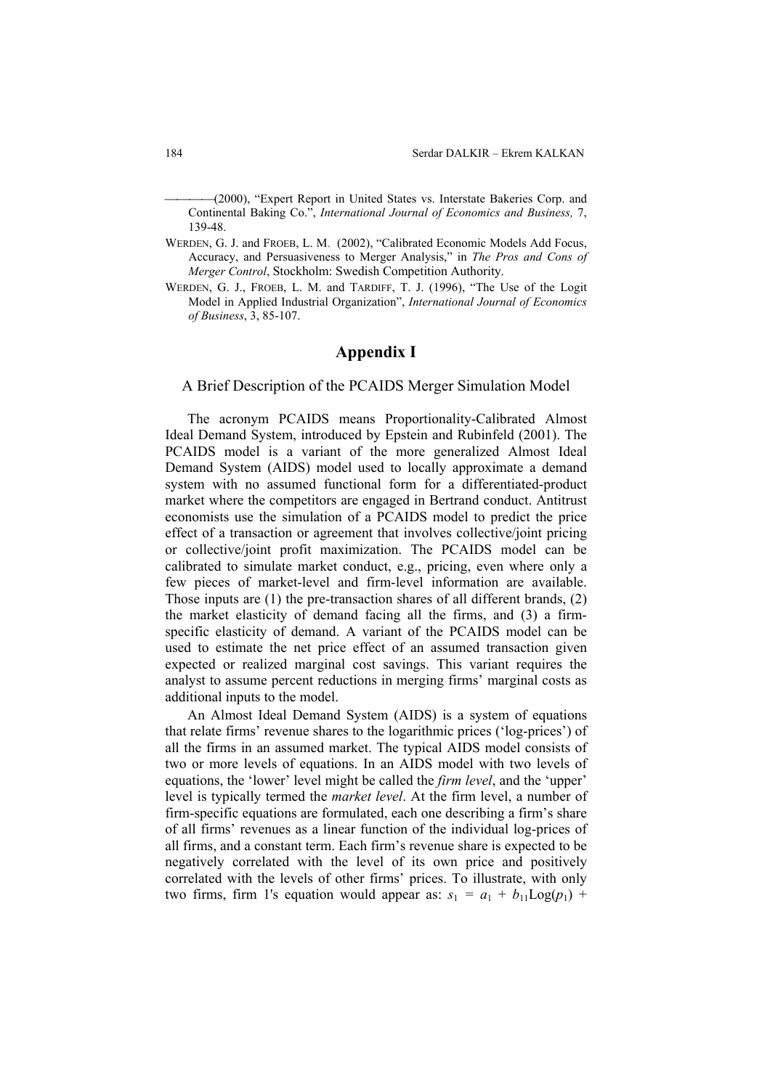(2000), "Expert Report in United States vs. Interstate Bakeries Corp. and Continental Baking Co.", *International Journal of Economics and Business,* 7, 139-48.

- WERDEN, G. J. and FROEB, L. M. (2002), "Calibrated Economic Models Add Focus, Accuracy, and Persuasiveness to Merger Analysis," in *The Pros and Cons of Merger Control*, Stockholm: Swedish Competition Authority.
- WERDEN, G. J., FROEB, L. M. and TARDIFF, T. J. (1996), "The Use of the Logit Model in Applied Industrial Organization", *International Journal of Economics of Business*, 3, 85-107.

## **Appendix I**

A Brief Description of the PCAIDS Merger Simulation Model

The acronym PCAIDS means Proportionality-Calibrated Almost Ideal Demand System, introduced by Epstein and Rubinfeld (2001). The PCAIDS model is a variant of the more generalized Almost Ideal Demand System (AIDS) model used to locally approximate a demand system with no assumed functional form for a differentiated-product market where the competitors are engaged in Bertrand conduct. Antitrust economists use the simulation of a PCAIDS model to predict the price effect of a transaction or agreement that involves collective/joint pricing or collective/joint profit maximization. The PCAIDS model can be calibrated to simulate market conduct, e.g., pricing, even where only a few pieces of market-level and firm-level information are available. Those inputs are (1) the pre-transaction shares of all different brands, (2) the market elasticity of demand facing all the firms, and (3) a firmspecific elasticity of demand. A variant of the PCAIDS model can be used to estimate the net price effect of an assumed transaction given expected or realized marginal cost savings. This variant requires the analyst to assume percent reductions in merging firms' marginal costs as additional inputs to the model.

An Almost Ideal Demand System (AIDS) is a system of equations that relate firms' revenue shares to the logarithmic prices ('log-prices') of all the firms in an assumed market. The typical AIDS model consists of two or more levels of equations. In an AIDS model with two levels of equations, the 'lower' level might be called the *firm level*, and the 'upper' level is typically termed the *market level*. At the firm level, a number of firm-specific equations are formulated, each one describing a firm's share of all firms' revenues as a linear function of the individual log-prices of all firms, and a constant term. Each firm's revenue share is expected to be negatively correlated with the level of its own price and positively correlated with the levels of other firms' prices. To illustrate, with only two firms, firm 1's equation would appear as:  $s_1 = a_1 + b_{11}Log(p_1)$  +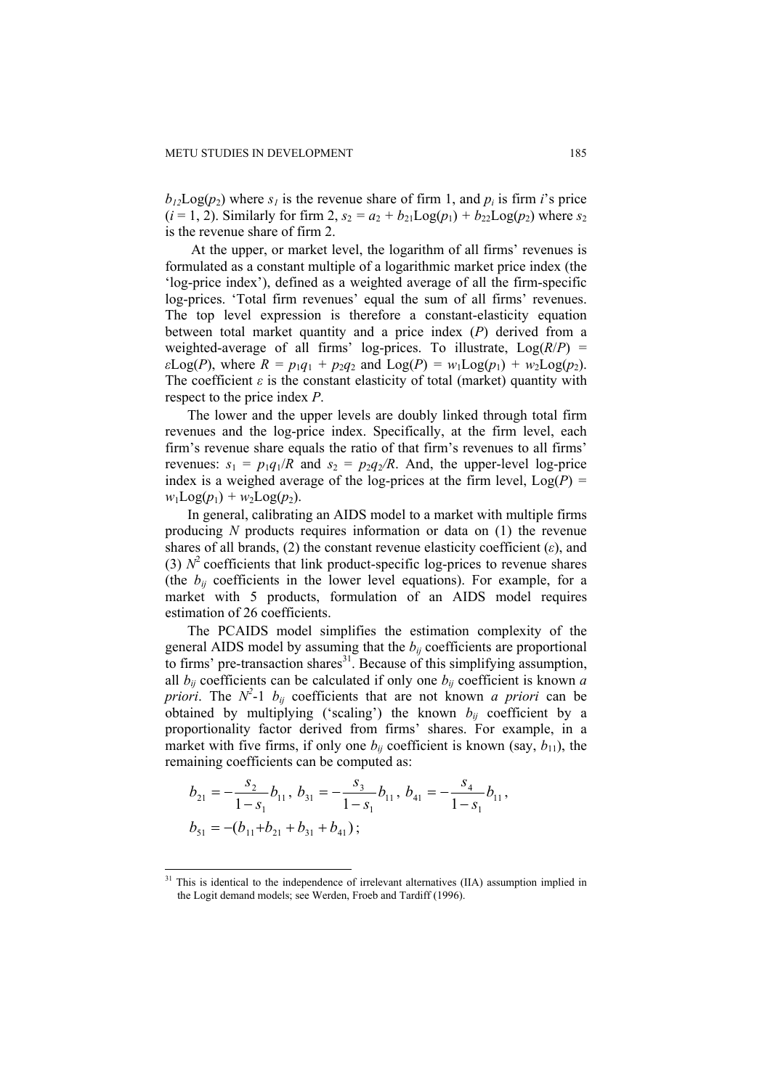$b_{12}Log(p_2)$  where  $s_1$  is the revenue share of firm 1, and  $p_i$  is firm *i*'s price  $(i = 1, 2)$ . Similarly for firm 2,  $s_2 = a_2 + b_{21}Log(p_1) + b_{22}Log(p_2)$  where  $s_2$ is the revenue share of firm 2.

 At the upper, or market level, the logarithm of all firms' revenues is formulated as a constant multiple of a logarithmic market price index (the 'log-price index'), defined as a weighted average of all the firm-specific log-prices. 'Total firm revenues' equal the sum of all firms' revenues. The top level expression is therefore a constant-elasticity equation between total market quantity and a price index (*P*) derived from a weighted-average of all firms' log-prices. To illustrate, Log(*R*/*P*) = *ε*Log(*P*), where  $R = p_1q_1 + p_2q_2$  and  $Log(P) = w_1Log(p_1) + w_2Log(p_2)$ . The coefficient  $\varepsilon$  is the constant elasticity of total (market) quantity with respect to the price index *P*.

The lower and the upper levels are doubly linked through total firm revenues and the log-price index. Specifically, at the firm level, each firm's revenue share equals the ratio of that firm's revenues to all firms' revenues:  $s_1 = p_1q_1/R$  and  $s_2 = p_2q_2/R$ . And, the upper-level log-price index is a weighed average of the log-prices at the firm level,  $Log(P)$  =  $w_1$ Log( $p_1$ ) +  $w_2$ Log( $p_2$ ).

In general, calibrating an AIDS model to a market with multiple firms producing *N* products requires information or data on (1) the revenue shares of all brands, (2) the constant revenue elasticity coefficient (*ε*), and (3)  $N^2$  coefficients that link product-specific log-prices to revenue shares (the  $b_{ij}$  coefficients in the lower level equations). For example, for a market with 5 products, formulation of an AIDS model requires estimation of 26 coefficients.

The PCAIDS model simplifies the estimation complexity of the general AIDS model by assuming that the  $b_{ii}$  coefficients are proportional to firms' pre-transaction shares $31$ . Because of this simplifying assumption, all  $b_{ij}$  coefficients can be calculated if only one  $b_{ij}$  coefficient is known *a priori*. The  $N^2$ -1  $b_{ij}$  coefficients that are not known *a priori* can be obtained by multiplying ('scaling') the known  $b_{ij}$  coefficient by a proportionality factor derived from firms' shares. For example, in a market with five firms, if only one  $b_{ij}$  coefficient is known (say,  $b_{11}$ ), the remaining coefficients can be computed as:

$$
b_{21} = -\frac{s_2}{1 - s_1} b_{11}, b_{31} = -\frac{s_3}{1 - s_1} b_{11}, b_{41} = -\frac{s_4}{1 - s_1} b_{11},
$$
  

$$
b_{51} = -(b_{11} + b_{21} + b_{31} + b_{41});
$$

 $31$  This is identical to the independence of irrelevant alternatives (IIA) assumption implied in the Logit demand models; see Werden, Froeb and Tardiff (1996).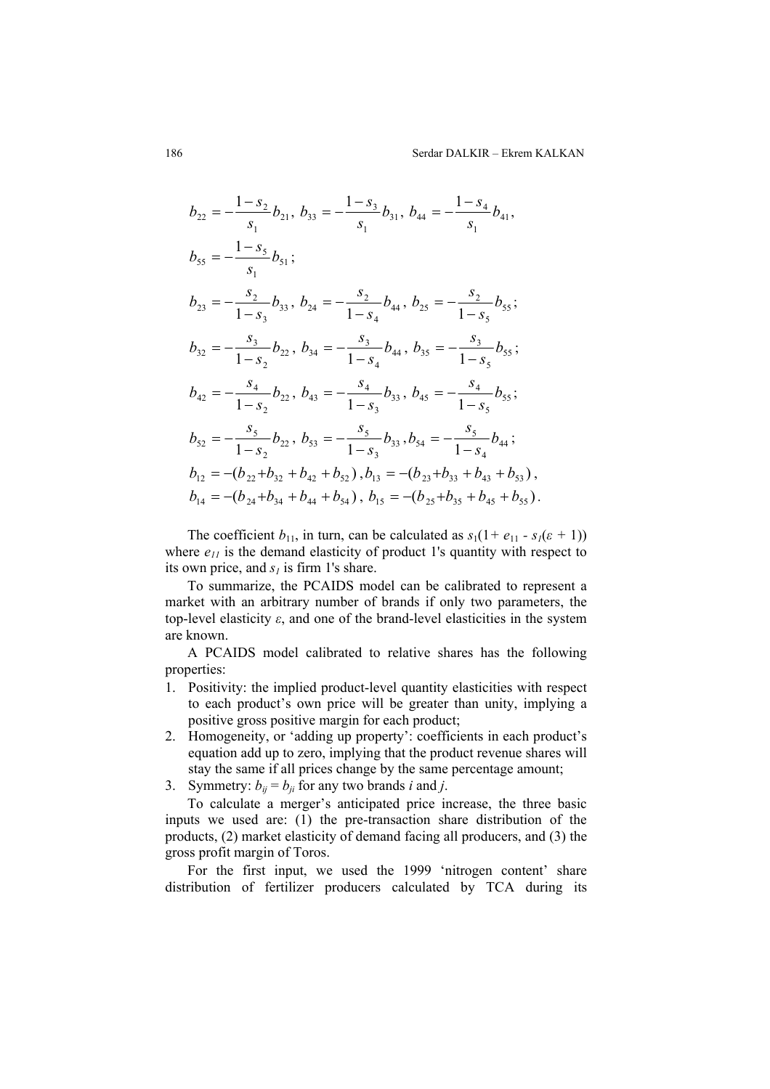$$
b_{22} = -\frac{1 - s_2}{s_1} b_{21}, b_{33} = -\frac{1 - s_3}{s_1} b_{31}, b_{44} = -\frac{1 - s_4}{s_1} b_{41},
$$
  
\n
$$
b_{55} = -\frac{1 - s_5}{s_1} b_{51};
$$
  
\n
$$
b_{23} = -\frac{s_2}{1 - s_3} b_{33}, b_{24} = -\frac{s_2}{1 - s_4} b_{44}, b_{25} = -\frac{s_2}{1 - s_5} b_{55};
$$
  
\n
$$
b_{32} = -\frac{s_3}{1 - s_2} b_{22}, b_{34} = -\frac{s_3}{1 - s_4} b_{44}, b_{35} = -\frac{s_3}{1 - s_5} b_{55};
$$
  
\n
$$
b_{42} = -\frac{s_4}{1 - s_2} b_{22}, b_{43} = -\frac{s_4}{1 - s_3} b_{33}, b_{45} = -\frac{s_4}{1 - s_5} b_{55};
$$
  
\n
$$
b_{52} = -\frac{s_5}{1 - s_2} b_{22}, b_{53} = -\frac{s_5}{1 - s_3} b_{33}, b_{54} = -\frac{s_5}{1 - s_4} b_{44};
$$
  
\n
$$
b_{12} = -(b_{22} + b_{32} + b_{42} + b_{52}), b_{13} = -(b_{23} + b_{33} + b_{43} + b_{53}),
$$
  
\n
$$
b_{14} = -(b_{24} + b_{34} + b_{44} + b_{54}), b_{15} = -(b_{25} + b_{35} + b_{45} + b_{55}).
$$

The coefficient  $b_{11}$ , in turn, can be calculated as  $s_1(1 + e_{11} - s_1(\epsilon + 1))$ where  $e_{11}$  is the demand elasticity of product 1's quantity with respect to its own price, and  $s<sub>l</sub>$  is firm 1's share.

To summarize, the PCAIDS model can be calibrated to represent a market with an arbitrary number of brands if only two parameters, the top-level elasticity *ε*, and one of the brand-level elasticities in the system are known.

A PCAIDS model calibrated to relative shares has the following properties:

- 1. Positivity: the implied product-level quantity elasticities with respect to each product's own price will be greater than unity, implying a positive gross positive margin for each product;
- 2. Homogeneity, or 'adding up property': coefficients in each product's equation add up to zero, implying that the product revenue shares will stay the same if all prices change by the same percentage amount;
- 3. Symmetry:  $b_{ii} = b_{ii}$  for any two brands *i* and *j*.

To calculate a merger's anticipated price increase, the three basic inputs we used are: (1) the pre-transaction share distribution of the products, (2) market elasticity of demand facing all producers, and (3) the gross profit margin of Toros.

For the first input, we used the 1999 'nitrogen content' share distribution of fertilizer producers calculated by TCA during its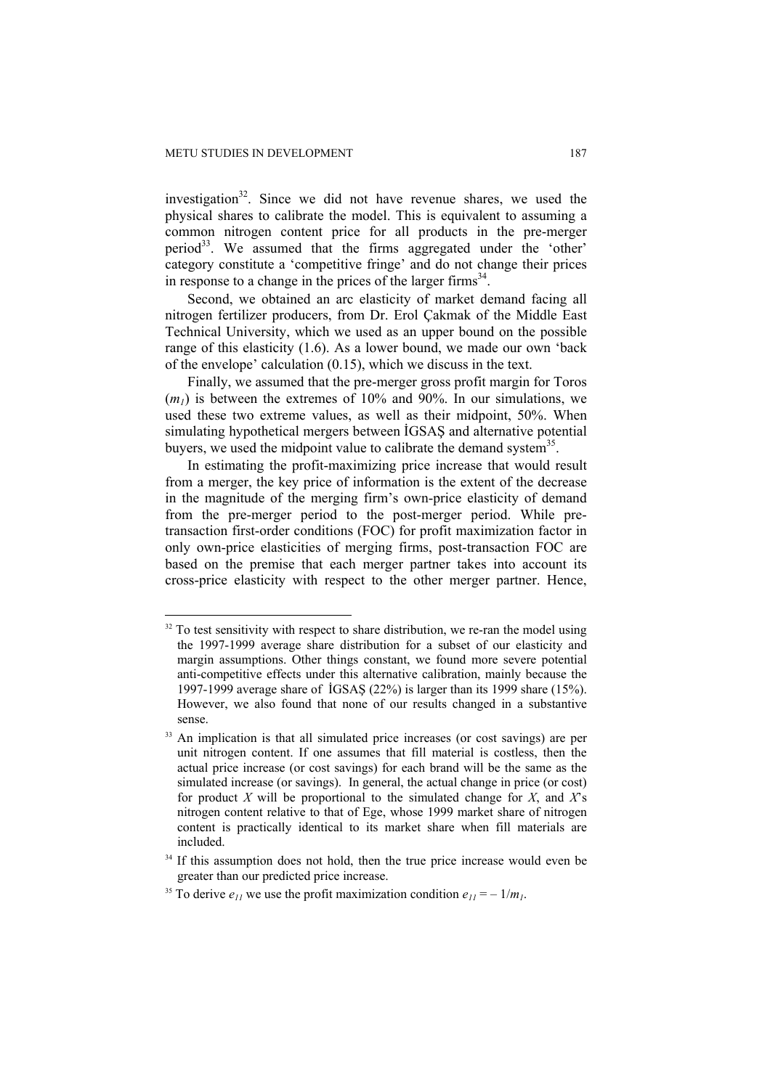$\overline{a}$ 

investigation $32$ . Since we did not have revenue shares, we used the physical shares to calibrate the model. This is equivalent to assuming a common nitrogen content price for all products in the pre-merger period<sup>33</sup>. We assumed that the firms aggregated under the 'other' category constitute a 'competitive fringe' and do not change their prices in response to a change in the prices of the larger firms $34$ .

Second, we obtained an arc elasticity of market demand facing all nitrogen fertilizer producers, from Dr. Erol Çakmak of the Middle East Technical University, which we used as an upper bound on the possible range of this elasticity (1.6). As a lower bound, we made our own 'back of the envelope' calculation (0.15), which we discuss in the text.

Finally, we assumed that the pre-merger gross profit margin for Toros  $(m_l)$  is between the extremes of 10% and 90%. In our simulations, we used these two extreme values, as well as their midpoint, 50%. When simulating hypothetical mergers between İGSAŞ and alternative potential buyers, we used the midpoint value to calibrate the demand system $35$ .

In estimating the profit-maximizing price increase that would result from a merger, the key price of information is the extent of the decrease in the magnitude of the merging firm's own-price elasticity of demand from the pre-merger period to the post-merger period. While pretransaction first-order conditions (FOC) for profit maximization factor in only own-price elasticities of merging firms, post-transaction FOC are based on the premise that each merger partner takes into account its cross-price elasticity with respect to the other merger partner. Hence,

 $32$  To test sensitivity with respect to share distribution, we re-ran the model using the 1997-1999 average share distribution for a subset of our elasticity and margin assumptions. Other things constant, we found more severe potential anti-competitive effects under this alternative calibration, mainly because the 1997-1999 average share of İGSAŞ (22%) is larger than its 1999 share (15%). However, we also found that none of our results changed in a substantive sense.

<sup>&</sup>lt;sup>33</sup> An implication is that all simulated price increases (or cost savings) are per unit nitrogen content. If one assumes that fill material is costless, then the actual price increase (or cost savings) for each brand will be the same as the simulated increase (or savings). In general, the actual change in price (or cost) for product *X* will be proportional to the simulated change for *X*, and *X*'s nitrogen content relative to that of Ege, whose 1999 market share of nitrogen content is practically identical to its market share when fill materials are included.

<sup>&</sup>lt;sup>34</sup> If this assumption does not hold, then the true price increase would even be greater than our predicted price increase.

<sup>&</sup>lt;sup>35</sup> To derive  $e_{11}$  we use the profit maximization condition  $e_{11} = -1/m_1$ .